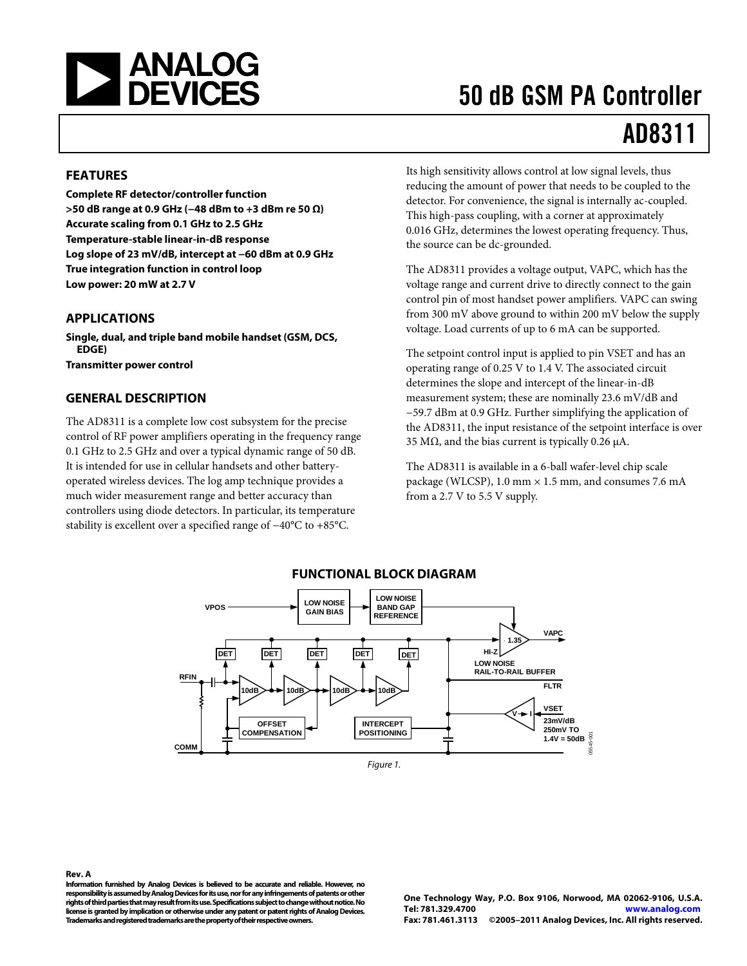

# 50 dB GSM PA Controller

# AD8311

### **FEATURES**

**Complete RF detector/controller function >50 dB range at 0.9 GHz (−48 dBm to +3 dBm re 50 Ω) Accurate scaling from 0.1 GHz to 2.5 GHz Temperature-stable linear-in-dB response Log slope of 23 mV/dB, intercept at −60 dBm at 0.9 GHz True integration function in control loop Low power: 20 mW at 2.7 V** 

#### **APPLICATIONS**

**Single, dual, and triple band mobile handset (GSM, DCS, EDGE)** 

**Transmitter power control** 

#### **GENERAL DESCRIPTION**

The AD8311 is a complete low cost subsystem for the precise control of RF power amplifiers operating in the frequency range 0.1 GHz to 2.5 GHz and over a typical dynamic range of 50 dB. It is intended for use in cellular handsets and other batteryoperated wireless devices. The log amp technique provides a much wider measurement range and better accuracy than controllers using diode detectors. In particular, its temperature stability is excellent over a specified range of −40°C to +85°C.

Its high sensitivity allows control at low signal levels, thus reducing the amount of power that needs to be coupled to the detector. For convenience, the signal is internally ac-coupled. This high-pass coupling, with a corner at approximately 0.016 GHz, determines the lowest operating frequency. Thus, the source can be dc-grounded.

The AD8311 provides a voltage output, VAPC, which has the voltage range and current drive to directly connect to the gain control pin of most handset power amplifiers. VAPC can swing from 300 mV above ground to within 200 mV below the supply voltage. Load currents of up to 6 mA can be supported.

The setpoint control input is applied to pin VSET and has an operating range of 0.25 V to 1.4 V. The associated circuit determines the slope and intercept of the linear-in-dB measurement system; these are nominally 23.6 mV/dB and −59.7 dBm at 0.9 GHz. Further simplifying the application of the AD8311, the input resistance of the setpoint interface is over 35 MΩ, and the bias current is typically 0.26  $\mu$ A.

The AD8311 is available in a 6-ball wafer-level chip scale package (WLCSP), 1.0 mm  $\times$  1.5 mm, and consumes 7.6 mA from a 2.7 V to 5.5 V supply.



#### **FUNCTIONAL BLOCK DIAGRAM**

**Rev. A** 

**Information furnished by Analog Devices is believed to be accurate and reliable. However, no responsibility is assumed by Analog Devices for its use, nor for any infringements of patents or other rights of third parties that may result from its use. Specifications subject to change without notice. No license is granted by implication or otherwise under any patent or patent rights of Analog Devices. Trademarks and registered trademarks are the property of their respective owners.** 

**One Technology Way, P.O. Box 9106, Norwood, MA 02062-9106, U.S.A. Tel: 781.329.4700 www.analog.com Fax: 781.461.3113 ©2005–2011 Analog Devices, Inc. All rights reserved.**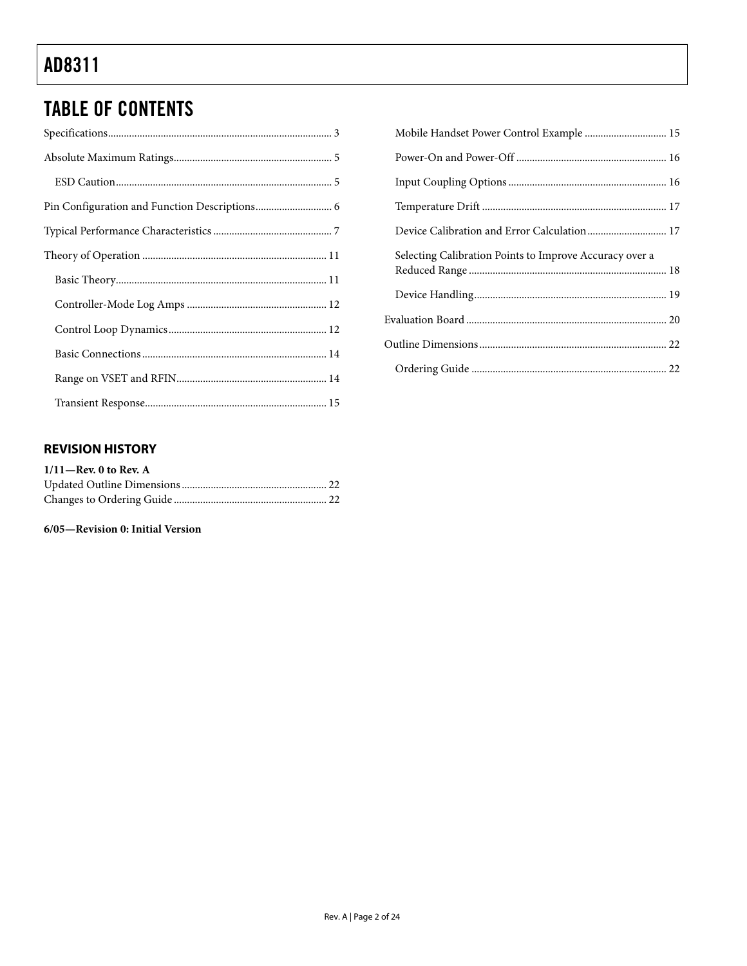# TABLE OF CONTENTS

| Mobile Handset Power Control Example  15                |  |
|---------------------------------------------------------|--|
|                                                         |  |
|                                                         |  |
|                                                         |  |
|                                                         |  |
| Selecting Calibration Points to Improve Accuracy over a |  |
|                                                         |  |
|                                                         |  |
|                                                         |  |
|                                                         |  |

### **REVISION HISTORY**

| $1/11$ —Rev. 0 to Rev. A |  |
|--------------------------|--|
|                          |  |
|                          |  |

#### **6/05—Revision 0: Initial Version**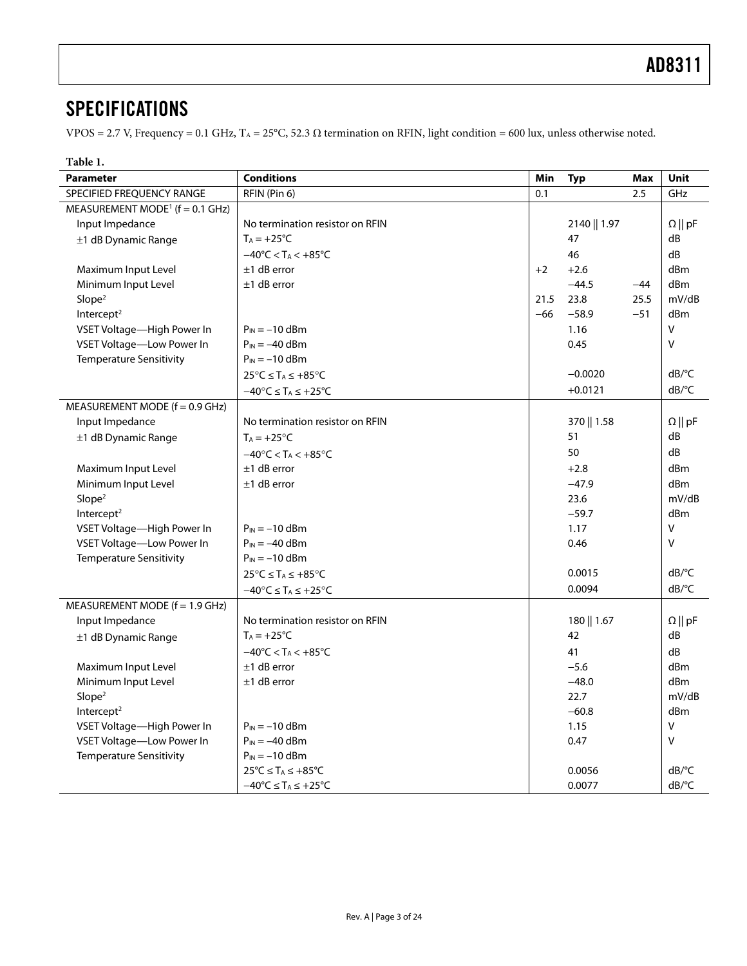### <span id="page-2-0"></span>**SPECIFICATIONS**

VPOS = 2.7 V, Frequency = 0.1 GHz, T<sub>A</sub> = 25°C, 52.3 Ω termination on RFIN, light condition = 600 lux, unless otherwise noted.

<span id="page-2-1"></span>

| Table 1.                                       |                                                    |       |               |       |                       |
|------------------------------------------------|----------------------------------------------------|-------|---------------|-------|-----------------------|
| <b>Parameter</b>                               | <b>Conditions</b>                                  | Min   | Typ           | Max   | <b>Unit</b>           |
| SPECIFIED FREQUENCY RANGE                      | RFIN (Pin 6)                                       | 0.1   |               | 2.5   | GHz                   |
| MEASUREMENT MODE <sup>1</sup> ( $f = 0.1$ GHz) |                                                    |       |               |       |                       |
| Input Impedance                                | No termination resistor on RFIN                    |       | 2140    1.97  |       | $\Omega \parallel pF$ |
| ±1 dB Dynamic Range                            | $T_A = +25$ °C                                     |       | 47            |       | dB                    |
|                                                | $-40^{\circ}$ C < T <sub>A</sub> < $+85^{\circ}$ C |       | 46            |       | dB                    |
| Maximum Input Level                            | $±1$ dB error                                      | $+2$  | $+2.6$        |       | dBm                   |
| Minimum Input Level                            | $±1$ dB error                                      |       | $-44.5$       | $-44$ | dBm                   |
| Slope <sup>2</sup>                             |                                                    | 21.5  | 23.8          | 25.5  | mV/dB                 |
| Intercept <sup>2</sup>                         |                                                    | $-66$ | $-58.9$       | $-51$ | dBm                   |
| VSET Voltage-High Power In                     | $P_{IN} = -10$ dBm                                 |       | 1.16          |       | V                     |
| VSET Voltage-Low Power In                      | $P_{IN} = -40$ dBm                                 |       | 0.45          |       | V                     |
| <b>Temperature Sensitivity</b>                 | $P_{IN} = -10$ dBm                                 |       |               |       |                       |
|                                                | $25^{\circ}C \leq T_A \leq +85^{\circ}C$           |       | $-0.0020$     |       | $dB$ <sup>o</sup> $C$ |
|                                                | $-40^{\circ}C \leq T_A \leq +25^{\circ}C$          |       | $+0.0121$     |       | $dB$ <sup>o</sup> $C$ |
| MEASUREMENT MODE ( $f = 0.9$ GHz)              |                                                    |       |               |       |                       |
| Input Impedance                                | No termination resistor on RFIN                    |       | 370    1.58   |       | $\Omega \parallel pF$ |
| ±1 dB Dynamic Range                            | $T_A = +25$ °C                                     |       | 51            |       | dB                    |
|                                                | $-40^{\circ}$ C < T <sub>A</sub> < $+85^{\circ}$ C |       | 50            |       | dB                    |
| Maximum Input Level                            | $±1$ dB error                                      |       | $+2.8$        |       | dBm                   |
| Minimum Input Level                            | $±1$ dB error                                      |       | $-47.9$       |       | dBm                   |
| Slope <sup>2</sup>                             |                                                    |       | 23.6          |       | mV/dB                 |
| Intercept <sup>2</sup>                         |                                                    |       | $-59.7$       |       | dBm                   |
| VSET Voltage-High Power In                     | $P_{IN} = -10$ dBm                                 |       | 1.17          |       | $\vee$                |
| VSET Voltage-Low Power In                      | $P_{IN} = -40$ dBm                                 |       | 0.46          |       | V                     |
| <b>Temperature Sensitivity</b>                 | $P_{IN} = -10$ dBm                                 |       |               |       |                       |
|                                                | $25^{\circ}C \leq T_A \leq +85^{\circ}C$           |       | 0.0015        |       | $dB$ <sup>o</sup> $C$ |
|                                                | $-40^{\circ}C \leq T_A \leq +25^{\circ}C$          |       | 0.0094        |       | dB/°C                 |
| MEASUREMENT MODE ( $f = 1.9$ GHz)              |                                                    |       |               |       |                       |
| Input Impedance                                | No termination resistor on RFIN                    |       | $180$    1.67 |       | $\Omega \parallel pF$ |
| $\pm$ 1 dB Dynamic Range                       | $T_A = +25$ °C                                     |       | 42            |       | dB                    |
|                                                | $-40^{\circ}$ C < T <sub>A</sub> < $+85^{\circ}$ C |       | 41            |       | dB                    |
| Maximum Input Level                            | $±1$ dB error                                      |       | $-5.6$        |       | dBm                   |
| Minimum Input Level                            | $±1$ dB error                                      |       | $-48.0$       |       | d <sub>Bm</sub>       |
| Slope <sup>2</sup>                             |                                                    |       | 22.7          |       | mV/dB                 |
| Intercept <sup>2</sup>                         |                                                    |       | $-60.8$       |       | dBm                   |
| VSET Voltage-High Power In                     | $P_{IN} = -10$ dBm                                 |       | 1.15          |       | $\vee$                |
| VSET Voltage-Low Power In                      | $P_{IN} = -40$ dBm                                 |       | 0.47          |       | V                     |
| <b>Temperature Sensitivity</b>                 | $P_{IN} = -10$ dBm                                 |       |               |       |                       |
|                                                | $25^{\circ}C \leq T_A \leq +85^{\circ}C$           |       | 0.0056        |       | $dB$ <sup>o</sup> C   |
|                                                | $-40^{\circ}C \leq T_A \leq +25^{\circ}C$          |       | 0.0077        |       | $dB$ <sup>o</sup> $C$ |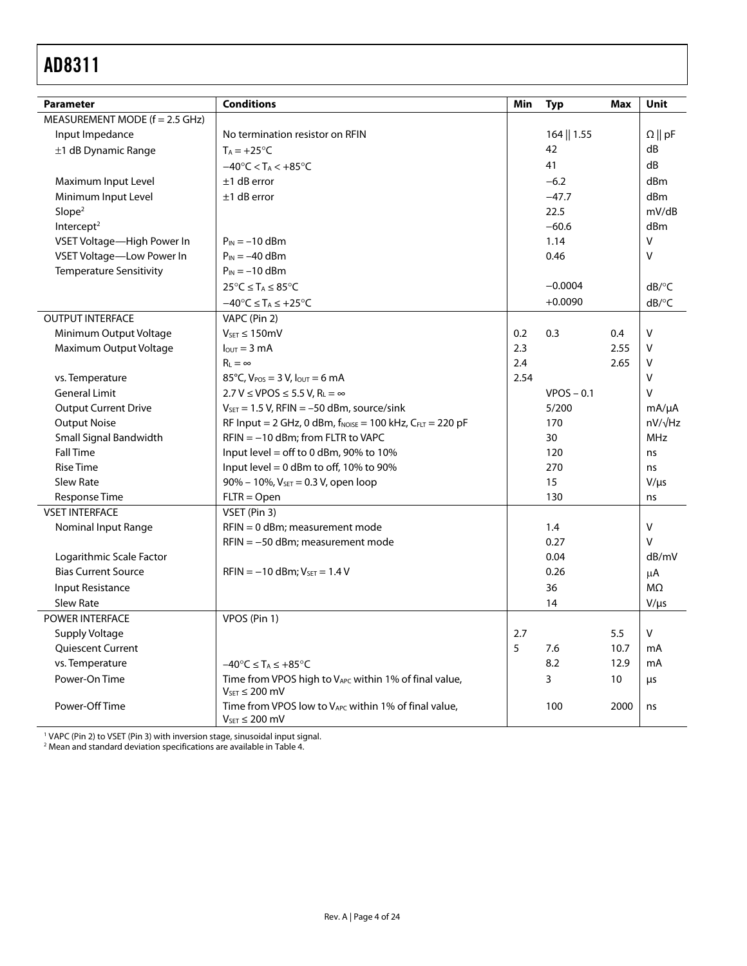<span id="page-3-0"></span>

| <b>Parameter</b>                 | <b>Conditions</b>                                                                | Min  | <b>Typ</b>   | Max  | <b>Unit</b>         |
|----------------------------------|----------------------------------------------------------------------------------|------|--------------|------|---------------------|
| MEASUREMENT MODE $(f = 2.5$ GHz) |                                                                                  |      |              |      |                     |
| Input Impedance                  | No termination resistor on RFIN                                                  |      | 164    1.55  |      | $\Omega$    pF      |
| $\pm$ 1 dB Dynamic Range         | $T_A = +25$ °C                                                                   |      | 42           |      | dB                  |
|                                  | $-40^{\circ}$ C < T <sub>A</sub> < $+85^{\circ}$ C                               |      | 41           |      | dB                  |
| Maximum Input Level              | $±1$ dB error                                                                    |      | $-6.2$       |      | d <sub>Bm</sub>     |
| Minimum Input Level              | $±1$ dB error                                                                    |      | $-47.7$      |      | d <sub>Bm</sub>     |
| Slope <sup>2</sup>               |                                                                                  |      | 22.5         |      | mV/dB               |
| Intercept <sup>2</sup>           |                                                                                  |      | $-60.6$      |      | dBm                 |
| VSET Voltage-High Power In       | $P_{IN} = -10$ dBm                                                               |      | 1.14         |      | v                   |
| VSET Voltage-Low Power In        | $P_{IN} = -40$ dBm                                                               |      | 0.46         |      | $\vee$              |
| <b>Temperature Sensitivity</b>   | $P_{IN} = -10$ dBm                                                               |      |              |      |                     |
|                                  | $25^{\circ}C \leq T_A \leq 85^{\circ}C$                                          |      | $-0.0004$    |      | $dB$ <sup>o</sup> C |
|                                  | $-40^{\circ}$ C $\leq$ T <sub>A</sub> $\leq$ +25 $^{\circ}$ C                    |      | $+0.0090$    |      | $dB$ <sup>o</sup> C |
| <b>OUTPUT INTERFACE</b>          | VAPC (Pin 2)                                                                     |      |              |      |                     |
| Minimum Output Voltage           | $V_{SET} \leq 150$ mV                                                            | 0.2  | 0.3          | 0.4  | $\vee$              |
| Maximum Output Voltage           | $IOUT = 3 mA$                                                                    | 2.3  |              | 2.55 | $\vee$              |
|                                  | $R_{L} = \infty$                                                                 | 2.4  |              | 2.65 | V                   |
| vs. Temperature                  | 85°C, $V_{POS} = 3 V$ , $I_{OUT} = 6 mA$                                         | 2.54 |              |      | $\sf V$             |
| <b>General Limit</b>             | $2.7 V \le VPOS \le 5.5 V, RL = \infty$                                          |      | $VPOS - 0.1$ |      | $\vee$              |
| <b>Output Current Drive</b>      | $V_{\text{SET}} = 1.5$ V, RFIN = -50 dBm, source/sink                            |      | 5/200        |      | $mA/\mu A$          |
| <b>Output Noise</b>              | RF Input = 2 GHz, 0 dBm, $f_{\text{NOISE}}$ = 100 kHz, $C_{\text{FLT}}$ = 220 pF |      | 170          |      | $nV/\sqrt{Hz}$      |
| Small Signal Bandwidth           | $RFIN = -10$ dBm; from FLTR to VAPC                                              |      | 30           |      | <b>MHz</b>          |
| <b>Fall Time</b>                 | Input level = off to 0 dBm, 90% to 10%                                           |      | 120          |      | ns                  |
| <b>Rise Time</b>                 | Input level = $0$ dBm to off, 10% to 90%                                         |      | 270          |      | ns                  |
| <b>Slew Rate</b>                 | 90% - 10%, V <sub>SET</sub> = 0.3 V, open loop                                   |      | 15           |      | $V/\mu s$           |
| Response Time                    | $FLTR = Open$                                                                    |      | 130          |      | ns                  |
| <b>VSET INTERFACE</b>            | VSET (Pin 3)                                                                     |      |              |      |                     |
| Nominal Input Range              | $RFIN = 0$ dBm; measurement mode                                                 |      | 1.4          |      | V                   |
|                                  | $RFIN = -50$ dBm; measurement mode                                               |      | 0.27         |      | $\vee$              |
| Logarithmic Scale Factor         |                                                                                  |      | 0.04         |      | dB/mV               |
| <b>Bias Current Source</b>       | $RFIN = -10$ dBm; $V_{SET} = 1.4$ V                                              |      | 0.26         |      | μA                  |
| <b>Input Resistance</b>          |                                                                                  |      | 36           |      | MΩ                  |
| <b>Slew Rate</b>                 |                                                                                  |      | 14           |      | $V/\mu s$           |
| POWER INTERFACE                  | VPOS (Pin 1)                                                                     |      |              |      |                     |
| Supply Voltage                   |                                                                                  | 2.7  |              | 5.5  | $\vee$              |
| <b>Quiescent Current</b>         |                                                                                  | 5    | 7.6          | 10.7 | mA                  |
| vs. Temperature                  | $-40^{\circ}$ C $\leq$ T <sub>A</sub> $\leq$ +85°C                               |      | 8.2          | 12.9 | mA                  |
| Power-On Time                    | Time from VPOS high to VAPC within 1% of final value,<br>$VSET \le 200$ mV       |      | 3            | 10   | μs                  |
| Power-Off Time                   | Time from VPOS low to VAPC within 1% of final value,<br>$V_{SET} \leq 200$ mV    |      | 100          | 2000 | ns                  |

' VAPC (Pin 2) to VSET (Pin 3) with inversion stage, sinusoidal input signal.<br><sup>2</sup> Mean and standard deviation specifications are available in Table 4.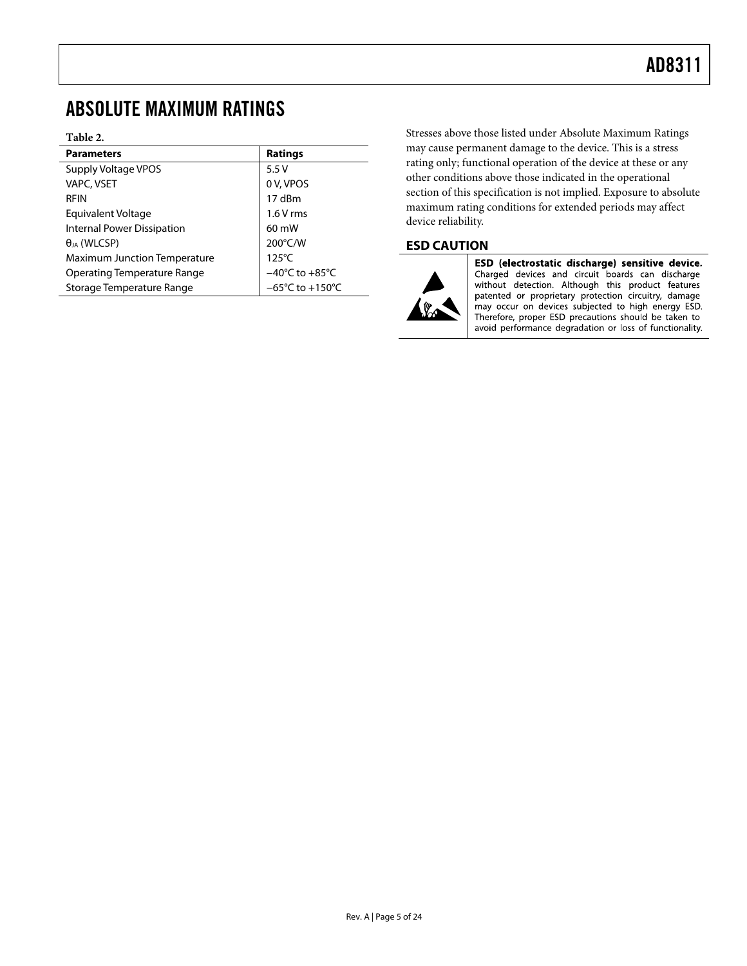### <span id="page-4-0"></span>ABSOLUTE MAXIMUM RATINGS

#### **Table 2.**

| <b>Parameters</b>                   | <b>Ratings</b>                      |
|-------------------------------------|-------------------------------------|
| Supply Voltage VPOS                 | 5.5V                                |
| VAPC, VSET                          | 0 V, VPOS                           |
| <b>RFIN</b>                         | 17 dBm                              |
| Equivalent Voltage                  | $1.6V$ rms                          |
| <b>Internal Power Dissipation</b>   | $60 \text{ mW}$                     |
| $\theta_{JA}$ (WLCSP)               | 200°C/W                             |
| <b>Maximum Junction Temperature</b> | $125^{\circ}$ C                     |
| Operating Temperature Range         | $-40^{\circ}$ C to $+85^{\circ}$ C  |
| Storage Temperature Range           | $-65^{\circ}$ C to $+150^{\circ}$ C |

Stresses above those listed under Absolute Maximum Ratings may cause permanent damage to the device. This is a stress rating only; functional operation of the device at these or any other conditions above those indicated in the operational section of this specification is not implied. Exposure to absolute maximum rating conditions for extended periods may affect device reliability.

### **ESD CAUTION**



ESD (electrostatic discharge) sensitive device. Charged devices and circuit boards can discharge without detection. Although this product features patented or proprietary protection circuitry, damage may occur on devices subjected to high energy ESD. Therefore, proper ESD precautions should be taken to avoid performance degradation or loss of functionality.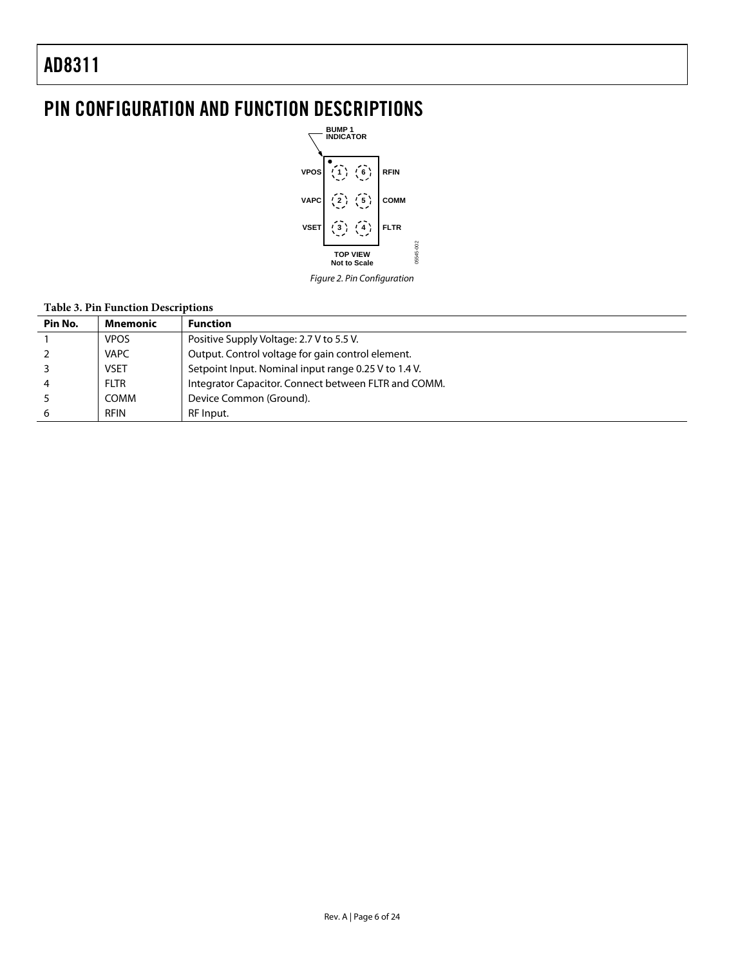# <span id="page-5-0"></span>PIN CONFIGURATION AND FUNCTION DESCRIPTIONS



Figure 2. Pin Configuration

### **Table 3. Pin Function Descriptions**

| Pin No. | Mnemonic    | <b>Function</b>                                      |
|---------|-------------|------------------------------------------------------|
|         | <b>VPOS</b> | Positive Supply Voltage: 2.7 V to 5.5 V.             |
|         | <b>VAPC</b> | Output. Control voltage for gain control element.    |
|         | <b>VSET</b> | Setpoint Input. Nominal input range 0.25 V to 1.4 V. |
|         | <b>FLTR</b> | Integrator Capacitor. Connect between FLTR and COMM. |
|         | COMM        | Device Common (Ground).                              |
|         | <b>RFIN</b> | RF Input.                                            |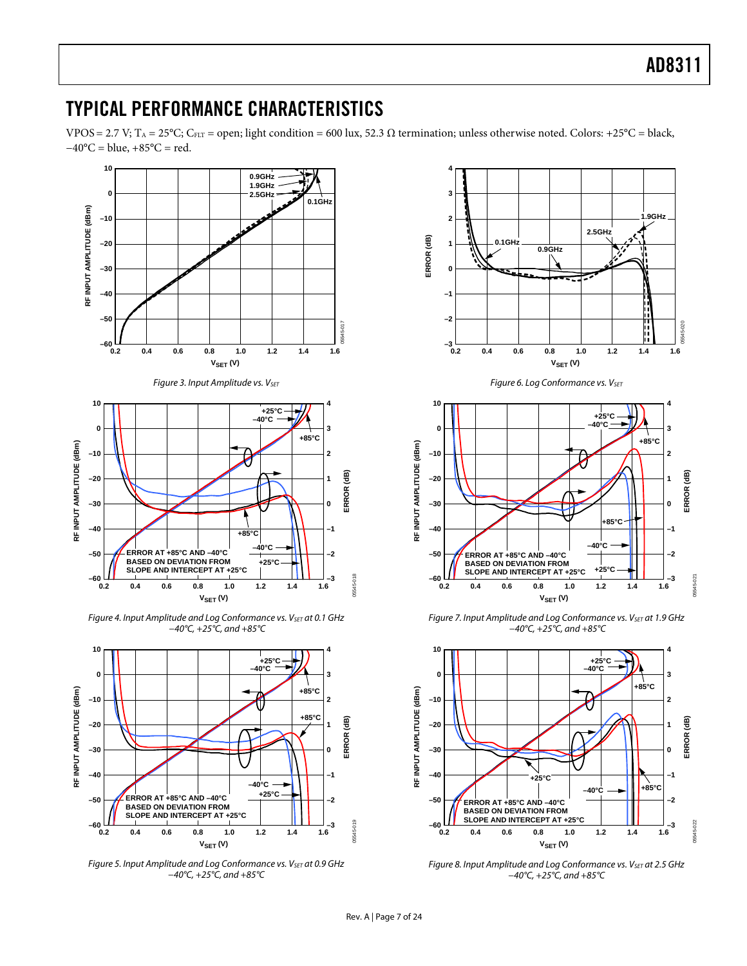### <span id="page-6-0"></span>TYPICAL PERFORMANCE CHARACTERISTICS

VPOS = 2.7 V; T<sub>A</sub> = 25°C; C<sub>FLT</sub> = open; light condition = 600 lux, 52.3  $\Omega$  termination; unless otherwise noted. Colors: +25°C = black,  $-40$ °C = blue,  $+85$ °C = red.

<span id="page-6-1"></span>

<span id="page-6-4"></span><span id="page-6-3"></span><span id="page-6-2"></span>Figure 5. Input Amplitude and Log Conformance vs. V<sub>SET</sub> at 0.9 GHz −40°C, +25°C, and +85°C



Figure 7. Input Amplitude and Log Conformance vs. V<sub>SET</sub> at 1.9 GHz −40°C, +25°C, and +85°C



Figure 8. Input Amplitude and Log Conformance vs.  $V_{\text{SET}}$  at 2.5 GHz −40°C, +25°C, and +85°C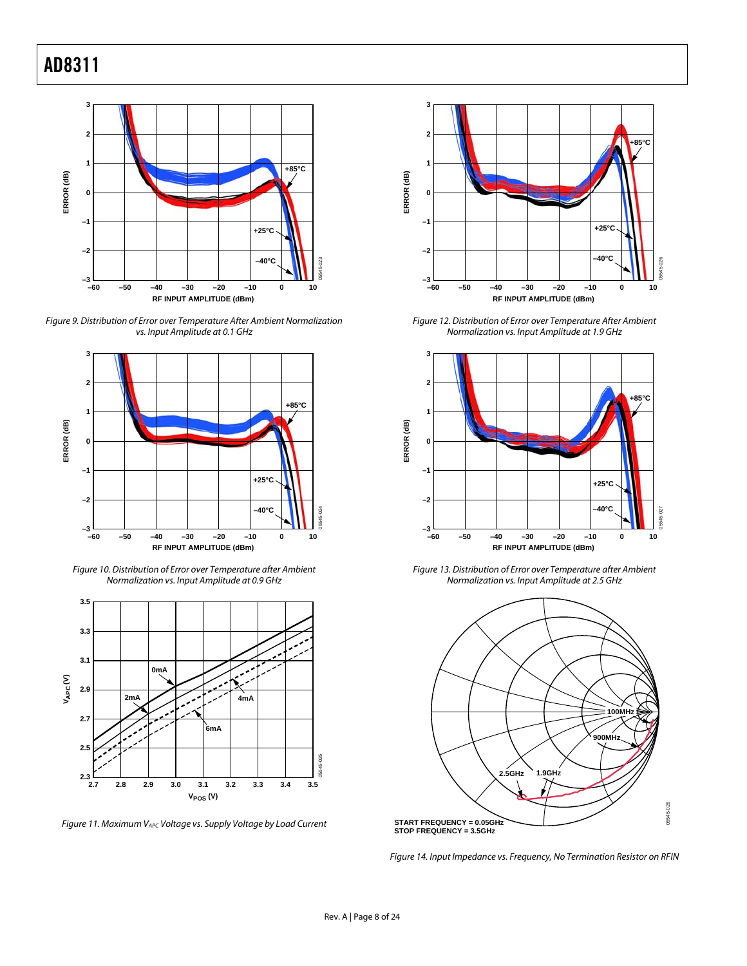

Figure 9. Distribution of Error over Temperature After Ambient Normalization vs. Input Amplitude at 0.1 GHz



Figure 10. Distribution of Error over Temperature after Ambient Normalization vs. Input Amplitude at 0.9 GHz



<span id="page-7-1"></span><span id="page-7-0"></span>Figure 11. Maximum VAPC Voltage vs. Supply Voltage by Load Current



Figure 12. Distribution of Error over Temperature After Ambient Normalization vs. Input Amplitude at 1.9 GHz



Figure 13. Distribution of Error over Temperature after Ambient Normalization vs. Input Amplitude at 2.5 GHz



Figure 14. Input Impedance vs. Frequency, No Termination Resistor on RFIN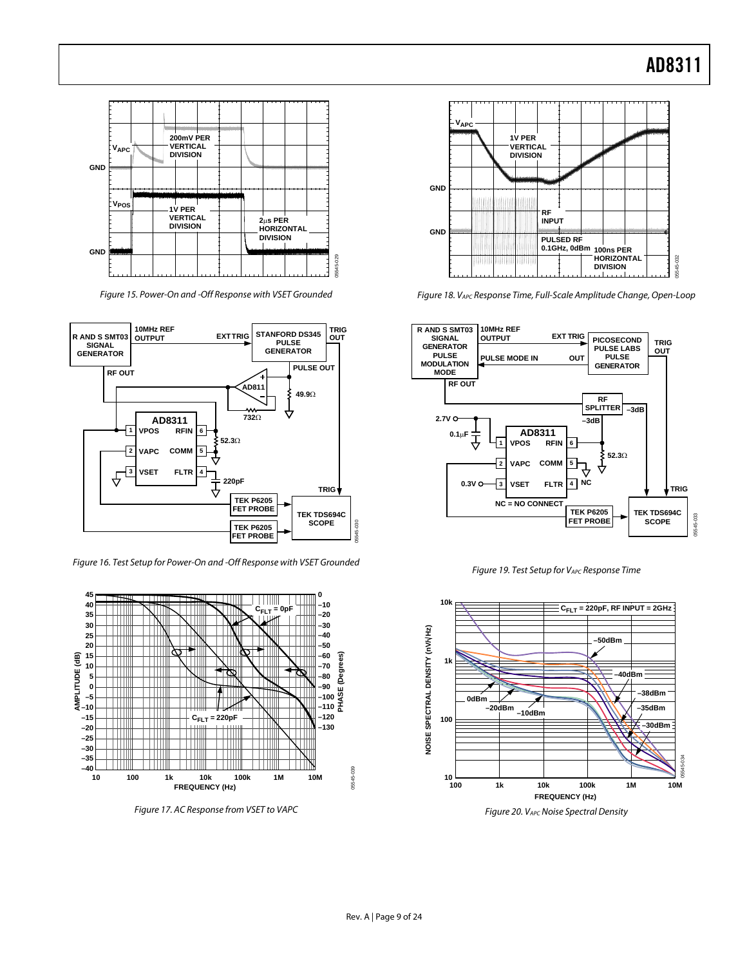

Figure 15. Power-On and -Off Response with VSET Grounded



Figure 16. Test Setup for Power-On and -Off Response with VSET Grounded



Figure 17. AC Response from VSET to VAPC



Figure 18. VAPC Response Time, Full-Scale Amplitude Change, Open-Loop



Figure 19. Test Setup for VAPC Response Time



Figure 20. VAPC Noise Spectral Density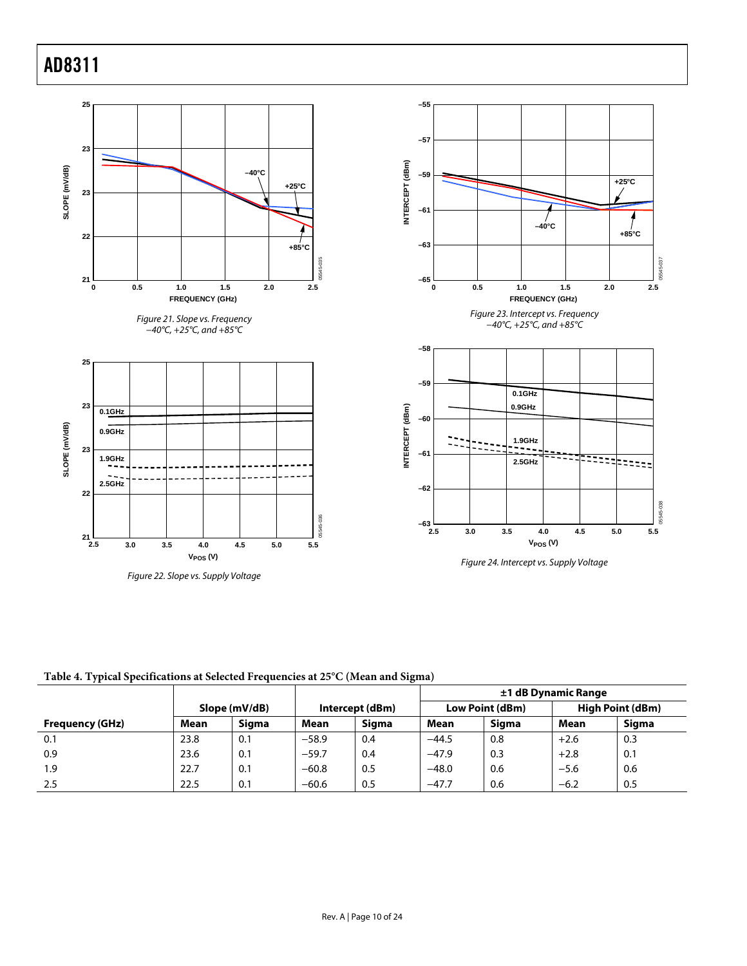<span id="page-9-0"></span>

**Table 4. Typical Specifications at Selected Frequencies at 25°C (Mean and Sigma)** 

|                        |               |       |                 |       | ±1 dB Dynamic Range |              |        |                  |
|------------------------|---------------|-------|-----------------|-------|---------------------|--------------|--------|------------------|
|                        | Slope (mV/dB) |       | Intercept (dBm) |       | Low Point (dBm)     |              |        | High Point (dBm) |
| <b>Frequency (GHz)</b> | Mean          | Siama | Mean            | Siama | Mean                | <b>Siama</b> | Mean   | Siama            |
| 0.1                    | 23.8          | 0.1   | $-58.9$         | 0.4   | $-44.5$             | 0.8          | $+2.6$ | 0.3              |
| 0.9                    | 23.6          | 0.1   | $-59.7$         | 0.4   | $-47.9$             | 0.3          | $+2.8$ | 0.1              |
| 1.9                    | 22.7          | 0.1   | $-60.8$         | 0.5   | $-48.0$             | 0.6          | $-5.6$ | 0.6              |
| 2.5                    | 22.5          | 0.1   | $-60.6$         | 0.5   | $-47.7$             | 0.6          | $-6.2$ | 0.5              |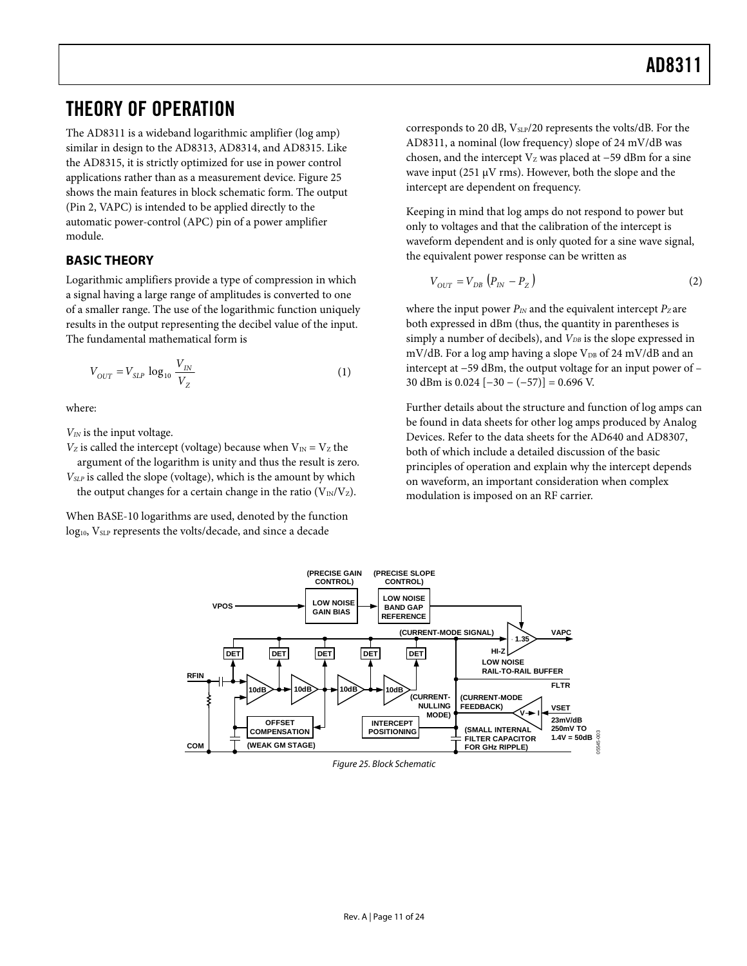### <span id="page-10-0"></span>THEORY OF OPERATION

The AD8311 is a wideband logarithmic amplifier (log amp) similar in design to the AD8313, AD8314, and AD8315. Like the AD8315, it is strictly optimized for use in power control applications rather than as a measurement device. [Figure 25](#page-10-1) shows the main features in block schematic form. The output (Pin 2, VAPC) is intended to be applied directly to the automatic power-control (APC) pin of a power amplifier module.

### **BASIC THEORY**

Logarithmic amplifiers provide a type of compression in which a signal having a large range of amplitudes is converted to one of a smaller range. The use of the logarithmic function uniquely results in the output representing the decibel value of the input. The fundamental mathematical form is

$$
V_{OUT} = V_{SLP} \log_{10} \frac{V_{IN}}{V_Z}
$$
 (1)

where:

*VIN* is the input voltage.

 $V_Z$  is called the intercept (voltage) because when  $V_{\text{IN}} = V_Z$  the argument of the logarithm is unity and thus the result is zero.

*VSLP* is called the slope (voltage), which is the amount by which the output changes for a certain change in the ratio  $(V_{\rm IN}/V_{\rm Z})$ .

<span id="page-10-1"></span>When BASE-10 logarithms are used, denoted by the function log<sub>10</sub>, V<sub>SLP</sub> represents the volts/decade, and since a decade

corresponds to 20 dB, V<sub>SLP</sub>/20 represents the volts/dB. For the AD8311, a nominal (low frequency) slope of 24 mV/dB was chosen, and the intercept  $V_Z$  was placed at −59 dBm for a sine wave input (251 μV rms). However, both the slope and the intercept are dependent on frequency.

Keeping in mind that log amps do not respond to power but only to voltages and that the calibration of the intercept is waveform dependent and is only quoted for a sine wave signal, the equivalent power response can be written as

$$
V_{OUT} = V_{DB} \left( P_{IN} - P_Z \right) \tag{2}
$$

where the input power  $P_{IN}$  and the equivalent intercept  $P_Z$  are both expressed in dBm (thus, the quantity in parentheses is simply a number of decibels), and  $V_{DB}$  is the slope expressed in mV/dB. For a log amp having a slope  $V_{DB}$  of 24 mV/dB and an intercept at −59 dBm, the output voltage for an input power of – 30 dBm is 0.024 [−30 − (−57)] = 0.696 V.

Further details about the structure and function of log amps can be found in data sheets for other log amps produced by Analog Devices. Refer to the data sheets for the AD640 and AD8307, both of which include a detailed discussion of the basic principles of operation and explain why the intercept depends on waveform, an important consideration when complex modulation is imposed on an RF carrier.



Figure 25. Block Schematic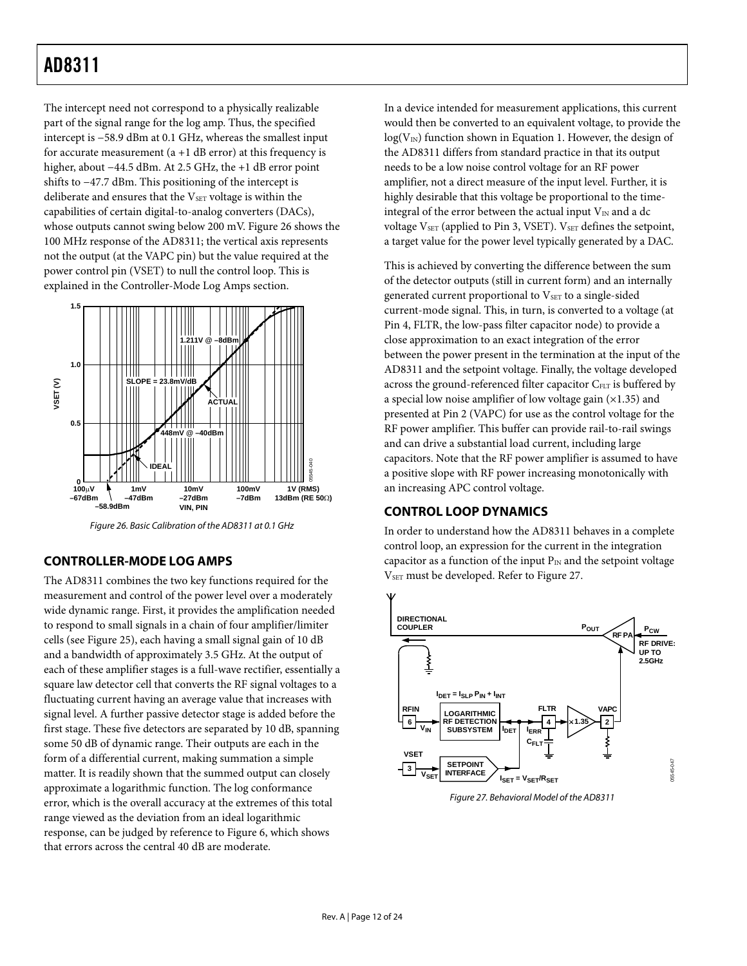<span id="page-11-0"></span>The intercept need not correspond to a physically realizable part of the signal range for the log amp. Thus, the specified intercept is −58.9 dBm at 0.1 GHz, whereas the smallest input for accurate measurement  $(a + 1$  dB error) at this frequency is higher, about −44.5 dBm. At 2.5 GHz, the +1 dB error point shifts to −47.7 dBm. This positioning of the intercept is deliberate and ensures that the  $V<sub>SET</sub>$  voltage is within the capabilities of certain digital-to-analog converters (DACs), whose outputs cannot swing below 200 mV. [Figure 26](#page-11-1) shows the 100 MHz response of the AD8311; the vertical axis represents not the output (at the VAPC pin) but the value required at the power control pin (VSET) to null the control loop. This is explained in the [Controller-Mode Log Amps](#page-11-2) section.



Figure 26. Basic Calibration of the AD8311 at 0.1 GHz

### <span id="page-11-2"></span><span id="page-11-1"></span>**CONTROLLER-MODE LOG AMPS**

<span id="page-11-3"></span>The AD8311 combines the two key functions required for the measurement and control of the power level over a moderately wide dynamic range. First, it provides the amplification needed to respond to small signals in a chain of four amplifier/limiter cells (see [Figure 25](#page-10-1)), each having a small signal gain of 10 dB and a bandwidth of approximately 3.5 GHz. At the output of each of these amplifier stages is a full-wave rectifier, essentially a square law detector cell that converts the RF signal voltages to a fluctuating current having an average value that increases with signal level. A further passive detector stage is added before the first stage. These five detectors are separated by 10 dB, spanning some 50 dB of dynamic range. Their outputs are each in the form of a differential current, making summation a simple matter. It is readily shown that the summed output can closely approximate a logarithmic function. The log conformance error, which is the overall accuracy at the extremes of this total range viewed as the deviation from an ideal logarithmic response, can be judged by reference to [Figure 6](#page-6-1), which shows that errors across the central 40 dB are moderate.

In a device intended for measurement applications, this current would then be converted to an equivalent voltage, to provide the  $log(V<sub>IN</sub>)$  function shown in Equation 1. However, the design of the AD8311 differs from standard practice in that its output needs to be a low noise control voltage for an RF power amplifier, not a direct measure of the input level. Further, it is highly desirable that this voltage be proportional to the timeintegral of the error between the actual input  $V_{IN}$  and a dc voltage VSET (applied to Pin 3, VSET). VSET defines the setpoint, a target value for the power level typically generated by a DAC.

This is achieved by converting the difference between the sum of the detector outputs (still in current form) and an internally generated current proportional to V<sub>SET</sub> to a single-sided current-mode signal. This, in turn, is converted to a voltage (at Pin 4, FLTR, the low-pass filter capacitor node) to provide a close approximation to an exact integration of the error between the power present in the termination at the input of the AD8311 and the setpoint voltage. Finally, the voltage developed across the ground-referenced filter capacitor C<sub>FLT</sub> is buffered by a special low noise amplifier of low voltage gain  $(x1.35)$  and presented at Pin 2 (VAPC) for use as the control voltage for the RF power amplifier. This buffer can provide rail-to-rail swings and can drive a substantial load current, including large capacitors. Note that the RF power amplifier is assumed to have a positive slope with RF power increasing monotonically with an increasing APC control voltage.

#### **CONTROL LOOP DYNAMICS**

In order to understand how the AD8311 behaves in a complete control loop, an expression for the current in the integration capacitor as a function of the input  $P_{IN}$  and the setpoint voltage V<sub>SET</sub> must be developed. Refer to [Figure 27.](#page-11-3)



Figure 27. Behavioral Model of the AD8311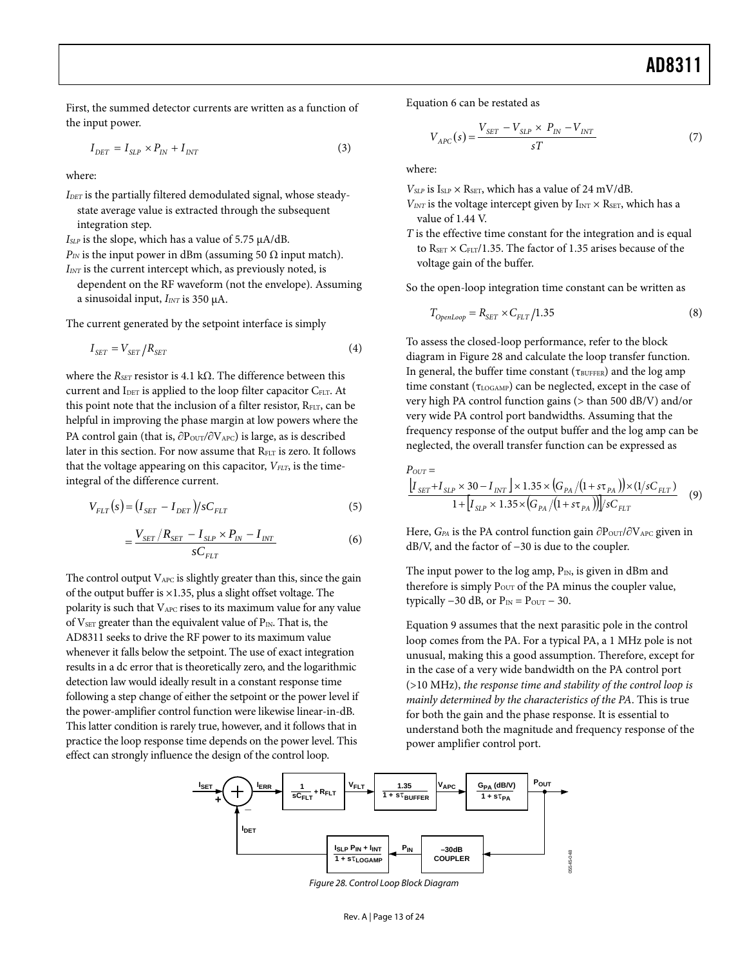First, the summed detector currents are written as a function of Equation 6 can be restated as the input power.

$$
I_{DET} = I_{SLP} \times P_{IN} + I_{INT} \tag{3}
$$

where: where:

- *VSLP* is ISLP × RSET, which has a value of 24 mV/dB. *IDET* is the partially filtered demodulated signal, whose steadystate average value is extracted through the subsequent integration step.
- *ISLP* is the slope, which has a value of 5.75 μA/dB.
- $P_{IN}$  is the input power in dBm (assuming 50  $\Omega$  input match).
- *IINT* is the current intercept which, as previously noted, is
	- dependent on the RF waveform (not the envelope). Assuming a sinusoidal input, *IINT* is 350 μA.

The current generated by the setpoint interface is simply

$$
I_{SET} = V_{SET}/R_{SET}
$$
 (4)

where the *RSET* resistor is 4.1 kΩ. The difference between this current and I<sub>DET</sub> is applied to the loop filter capacitor C<sub>ELT</sub>. At this point note that the inclusion of a filter resistor,  $R_{FLT}$ , can be helpful in improving the phase margin at low powers where the PA control gain (that is,  $\partial P_{\text{OUT}} / \partial V_{\text{APC}}$ ) is large, as is described later in this section. For now assume that  $R_{ELT}$  is zero. It follows that the voltage appearing on this capacitor,  $V_{FLT}$ , is the timeintegral of the difference current.

$$
V_{ELT}(s) = (I_{SET} - I_{DET})/sC_{ELT}
$$
\n<sup>(5)</sup>

$$
=\frac{V_{SET}/R_{SET}-I_{SLP} \times P_{IN}-I_{INT}}{sC_{FLT}}
$$
(6)

The control output  $V_{APC}$  is slightly greater than this, since the gain of the output buffer is ×1.35, plus a slight offset voltage. The polarity is such that VAPC rises to its maximum value for any value of V $_{\text{SET}}$  greater than the equivalent value of P<sub>IN</sub>. That is, the AD8311 seeks to drive the RF power to its maximum value whenever it falls below the setpoint. The use of exact integration results in a dc error that is theoretically zero, and the logarithmic detection law would ideally result in a constant response time following a step change of either the setpoint or the power level if the power-amplifier control function were likewise linear-in-dB. This latter condition is rarely true, however, and it follows that in practice the loop response time depends on the power level. This effect can strongly influence the design of the control loop.

$$
V_{APC}(s) = \frac{V_{SET} - V_{SLP} \times P_{IN} - V_{INT}}{sT}
$$
 (7)

- $V_{INT}$  is the voltage intercept given by  $I_{INT} \times R_{SET}$ , which has a value of 1.44 V.
- *T* is the effective time constant for the integration and is equal to  $R_{\text{SET}} \times C_{\text{ELT}}/1.35$ . The factor of 1.35 arises because of the voltage gain of the buffer.

So the open-loop integration time constant can be written as

$$
T_{OpenLoop} = R_{SET} \times C_{ELT} / 1.35
$$
\n(8)

To assess the closed-loop performance, refer to the block diagram in [Figure 28](#page-12-0) and calculate the loop transfer function. In general, the buffer time constant ( $\tau_{\text{BUFFER}}$ ) and the log amp time constant ( $\tau_{\text{LOGAMP}}$ ) can be neglected, except in the case of very high PA control function gains (> than 500 dB/V) and/or very wide PA control port bandwidths. Assuming that the frequency response of the output buffer and the log amp can be neglected, the overall transfer function can be expressed as

$$
P_{OUT} = \frac{\left[I_{SET} + I_{SLP} \times 30 - I_{INT}\right] \times 1.35 \times \left(G_{PA}/(1 + s\tau_{PA})\right) \times (1/sC_{ELT})}{1 + \left[I_{SLP} \times 1.35 \times \left(G_{PA}/(1 + s\tau_{PA})\right)\right] / sC_{ELT}} \tag{9}
$$

Here, *G*<sub>PA</sub> is the PA control function gain ∂P<sub>OUT</sub>/∂V<sub>APC</sub> given in dB/V, and the factor of −30 is due to the coupler.

The input power to the log amp,  $P_{IN}$ , is given in dBm and therefore is simply P<sub>OUT</sub> of the PA minus the coupler value, typically  $-30$  dB, or  $P_{IN} = P_{OUT} - 30$ .

Equation 9 assumes that the next parasitic pole in the control loop comes from the PA. For a typical PA, a 1 MHz pole is not unusual, making this a good assumption. Therefore, except for in the case of a very wide bandwidth on the PA control port (>10 MHz), *the response time and stability of the control loop is mainly determined by the characteristics of the PA*. This is true for both the gain and the phase response. It is essential to understand both the magnitude and frequency response of the power amplifier control port.

<span id="page-12-0"></span>

Figure 28. Control Loop Block Diagram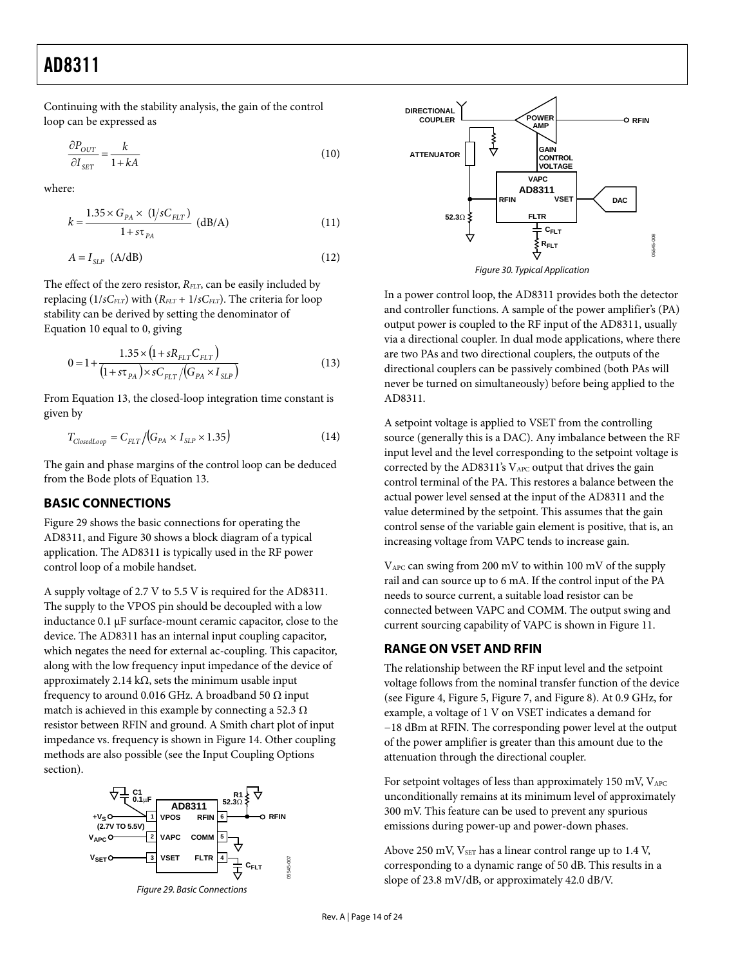<span id="page-13-0"></span>Continuing with the stability analysis, the gain of the control loop can be expressed as

$$
\frac{\partial P_{OUT}}{\partial I_{SET}} = \frac{k}{1 + kA} \tag{10}
$$

where:

$$
k = \frac{1.35 \times G_{PA} \times (1/sC_{FLT})}{1 + s\tau_{PA}} \text{ (dB/A)}
$$
 (11)

$$
A = I_{SLP} \text{ (A/dB)} \tag{12}
$$

<span id="page-13-2"></span>The effect of the zero resistor, *R<sub>FLT</sub>*, can be easily included by replacing  $(1/sC<sub>ELT</sub>)$  with  $(R<sub>ELT</sub> + 1/sC<sub>ELT</sub>)$ . The criteria for loop stability can be derived by setting the denominator of Equation 10 equal to 0, giving

$$
0 = 1 + \frac{1.35 \times (1 + sR_{FLT}C_{FLT})}{(1 + s\tau_{PA}) \times sC_{FLT}/(G_{PA} \times I_{SLP})}
$$
(13)

From Equation 13, the closed-loop integration time constant is given by

$$
T_{ClosedLoop} = C_{ELT} / (G_{PA} \times I_{SLP} \times 1.35)
$$
\n(14)

The gain and phase margins of the control loop can be deduced from the Bode plots of Equation 13.

### **BASIC CONNECTIONS**

[Figure 29](#page-13-1) shows the basic connections for operating the AD8311, and [Figure 30](#page-13-2) shows a block diagram of a typical application. The AD8311 is typically used in the RF power control loop of a mobile handset.

A supply voltage of 2.7 V to 5.5 V is required for the AD8311. The supply to the VPOS pin should be decoupled with a low inductance 0.1 μF surface-mount ceramic capacitor, close to the device. The AD8311 has an internal input coupling capacitor, which negates the need for external ac-coupling. This capacitor, along with the low frequency input impedance of the device of approximately 2.14 kΩ, sets the minimum usable input frequency to around 0.016 GHz. A broadband 50  $\Omega$  input match is achieved in this example by connecting a 52.3  $\Omega$ resistor between RFIN and ground. A Smith chart plot of input impedance vs. frequency is shown in [Figure 14.](#page-7-0) Other coupling methods are also possible (see the [Input Coupling Options](#page-15-1) section).

<span id="page-13-1"></span>

Figure 29. Basic Connections



Figure 30. Typical Application

In a power control loop, the AD8311 provides both the detector and controller functions. A sample of the power amplifier's (PA) output power is coupled to the RF input of the AD8311, usually via a directional coupler. In dual mode applications, where there are two PAs and two directional couplers, the outputs of the directional couplers can be passively combined (both PAs will never be turned on simultaneously) before being applied to the AD8311.

A setpoint voltage is applied to VSET from the controlling source (generally this is a DAC). Any imbalance between the RF input level and the level corresponding to the setpoint voltage is corrected by the AD8311's VAPC output that drives the gain control terminal of the PA. This restores a balance between the actual power level sensed at the input of the AD8311 and the value determined by the setpoint. This assumes that the gain control sense of the variable gain element is positive, that is, an increasing voltage from VAPC tends to increase gain.

VAPC can swing from 200 mV to within 100 mV of the supply rail and can source up to 6 mA. If the control input of the PA needs to source current, a suitable load resistor can be connected between VAPC and COMM. The output swing and current sourcing capability of VAPC is shown in [Figure 11](#page-7-1).

### **RANGE ON VSET AND RFIN**

The relationship between the RF input level and the setpoint voltage follows from the nominal transfer function of the device (see [Figure 4](#page-6-2), [Figure 5](#page-6-3), [Figure 7,](#page-6-2) and [Figure 8\)](#page-6-4). At 0.9 GHz, for example, a voltage of 1 V on VSET indicates a demand for −18 dBm at RFIN. The corresponding power level at the output of the power amplifier is greater than this amount due to the attenuation through the directional coupler.

For setpoint voltages of less than approximately 150 mV,  $V_{APC}$ unconditionally remains at its minimum level of approximately 300 mV. This feature can be used to prevent any spurious emissions during power-up and power-down phases.

Above 250 mV, V<sub>SET</sub> has a linear control range up to 1.4 V, corresponding to a dynamic range of 50 dB. This results in a slope of 23.8 mV/dB, or approximately 42.0 dB/V.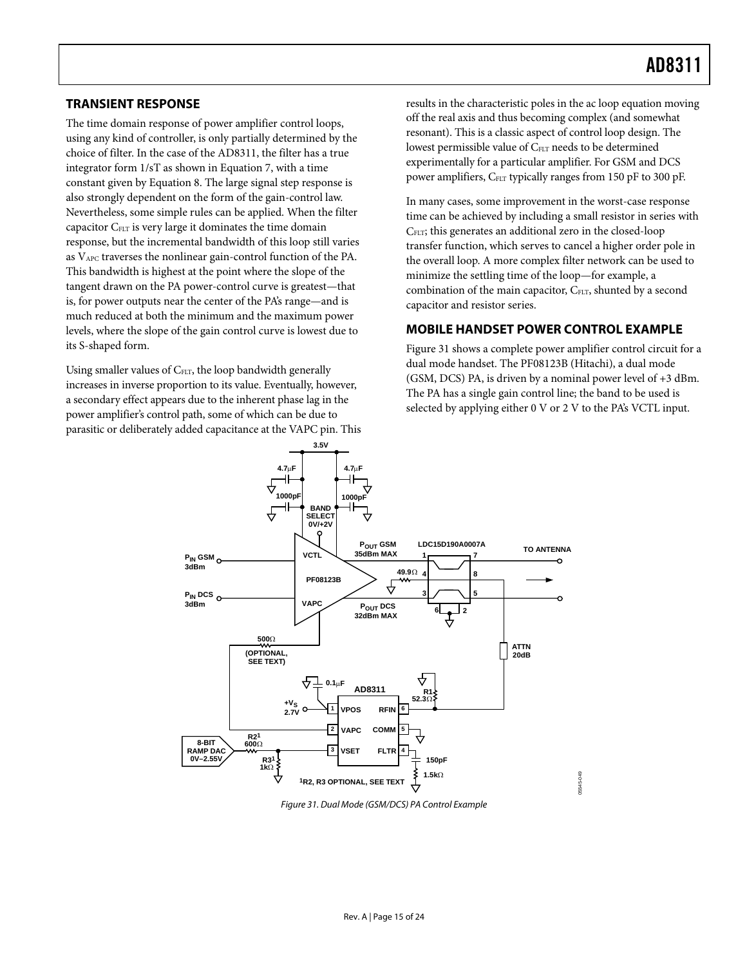### <span id="page-14-0"></span>**TRANSIENT RESPONSE**

The time domain response of power amplifier control loops, using any kind of controller, is only partially determined by the choice of filter. In the case of the AD8311, the filter has a true integrator form 1/sT as shown in Equation 7, with a time constant given by Equation 8. The large signal step response is also strongly dependent on the form of the gain-control law. Nevertheless, some simple rules can be applied. When the filter capacitor CFLT is very large it dominates the time domain response, but the incremental bandwidth of this loop still varies as VAPC traverses the nonlinear gain-control function of the PA. This bandwidth is highest at the point where the slope of the tangent drawn on the PA power-control curve is greatest—that is, for power outputs near the center of the PA's range—and is much reduced at both the minimum and the maximum power levels, where the slope of the gain control curve is lowest due to its S-shaped form.

Using smaller values of C<sub>FLT</sub>, the loop bandwidth generally increases in inverse proportion to its value. Eventually, however, a secondary effect appears due to the inherent phase lag in the power amplifier's control path, some of which can be due to parasitic or deliberately added capacitance at the VAPC pin. This results in the characteristic poles in the ac loop equation moving off the real axis and thus becoming complex (and somewhat resonant). This is a classic aspect of control loop design. The lowest permissible value of C<sub>FLT</sub> needs to be determined experimentally for a particular amplifier. For GSM and DCS power amplifiers,  $C_{FLT}$  typically ranges from 150 pF to 300 pF.

In many cases, some improvement in the worst-case response time can be achieved by including a small resistor in series with CFLT; this generates an additional zero in the closed-loop transfer function, which serves to cancel a higher order pole in the overall loop. A more complex filter network can be used to minimize the settling time of the loop—for example, a combination of the main capacitor, C<sub>FLT</sub>, shunted by a second capacitor and resistor series.

### **MOBILE HANDSET POWER CONTROL EXAMPLE**

[Figure 31](#page-14-1) shows a complete power amplifier control circuit for a dual mode handset. The PF08123B (Hitachi), a dual mode (GSM, DCS) PA, is driven by a nominal power level of +3 dBm. The PA has a single gain control line; the band to be used is selected by applying either 0 V or 2 V to the PA's VCTL input.

05545-049



<span id="page-14-1"></span>Figure 31. Dual Mode (GSM/DCS) PA Control Example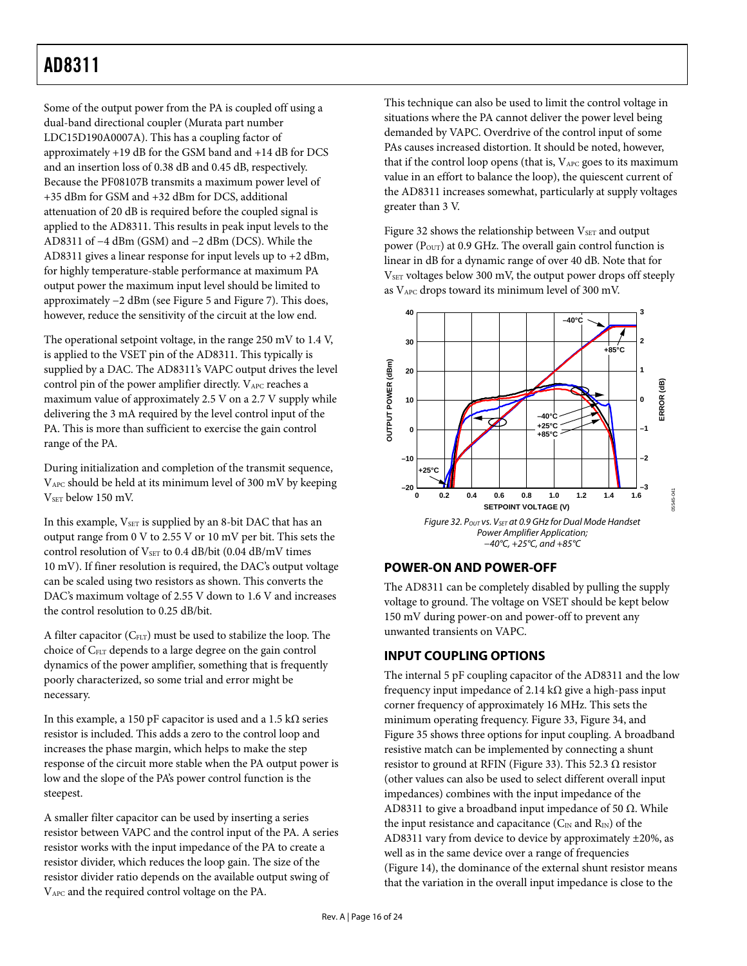<span id="page-15-0"></span>Some of the output power from the PA is coupled off using a dual-band directional coupler (Murata part number LDC15D190A0007A). This has a coupling factor of approximately +19 dB for the GSM band and +14 dB for DCS and an insertion loss of 0.38 dB and 0.45 dB, respectively. Because the PF08107B transmits a maximum power level of +35 dBm for GSM and +32 dBm for DCS, additional attenuation of 20 dB is required before the coupled signal is applied to the AD8311. This results in peak input levels to the AD8311 of −4 dBm (GSM) and −2 dBm (DCS). While the AD8311 gives a linear response for input levels up to +2 dBm, for highly temperature-stable performance at maximum PA output power the maximum input level should be limited to approximately −2 dBm (see [Figure 5](#page-6-3) and [Figure 7\)](#page-6-2). This does, however, reduce the sensitivity of the circuit at the low end.

The operational setpoint voltage, in the range 250 mV to 1.4 V, is applied to the VSET pin of the AD8311. This typically is supplied by a DAC. The AD8311's VAPC output drives the level control pin of the power amplifier directly. VAPC reaches a maximum value of approximately 2.5 V on a 2.7 V supply while delivering the 3 mA required by the level control input of the PA. This is more than sufficient to exercise the gain control range of the PA.

During initialization and completion of the transmit sequence, VAPC should be held at its minimum level of 300 mV by keeping V<sub>SET</sub> below 150 mV.

<span id="page-15-2"></span>In this example,  $V_{\text{SET}}$  is supplied by an 8-bit DAC that has an output range from 0 V to 2.55 V or 10 mV per bit. This sets the control resolution of  $V_{\text{SET}}$  to 0.4 dB/bit (0.04 dB/mV times 10 mV). If finer resolution is required, the DAC's output voltage can be scaled using two resistors as shown. This converts the DAC's maximum voltage of 2.55 V down to 1.6 V and increases the control resolution to 0.25 dB/bit.

<span id="page-15-1"></span>A filter capacitor  $(C_{FLT})$  must be used to stabilize the loop. The choice of CFLT depends to a large degree on the gain control dynamics of the power amplifier, something that is frequently poorly characterized, so some trial and error might be necessary.

In this example, a 150 pF capacitor is used and a 1.5 kΩ series resistor is included. This adds a zero to the control loop and increases the phase margin, which helps to make the step response of the circuit more stable when the PA output power is low and the slope of the PA's power control function is the steepest.

A smaller filter capacitor can be used by inserting a series resistor between VAPC and the control input of the PA. A series resistor works with the input impedance of the PA to create a resistor divider, which reduces the loop gain. The size of the resistor divider ratio depends on the available output swing of VAPC and the required control voltage on the PA.

This technique can also be used to limit the control voltage in situations where the PA cannot deliver the power level being demanded by VAPC. Overdrive of the control input of some PAs causes increased distortion. It should be noted, however, that if the control loop opens (that is,  $V_{APC}$  goes to its maximum value in an effort to balance the loop), the quiescent current of the AD8311 increases somewhat, particularly at supply voltages greater than 3 V.

[Figure 32](#page-15-2) shows the relationship between  $V<sub>SET</sub>$  and output power ( $P_{\text{OUT}}$ ) at 0.9 GHz. The overall gain control function is linear in dB for a dynamic range of over 40 dB. Note that for V<sub>SET</sub> voltages below 300 mV, the output power drops off steeply as VAPC drops toward its minimum level of 300 mV.



### **POWER-ON AND POWER-OFF**

The AD8311 can be completely disabled by pulling the supply voltage to ground. The voltage on VSET should be kept below 150 mV during power-on and power-off to prevent any unwanted transients on VAPC.

### **INPUT COUPLING OPTIONS**

The internal 5 pF coupling capacitor of the AD8311 and the low frequency input impedance of 2.14 kΩ give a high-pass input corner frequency of approximately 16 MHz. This sets the minimum operating frequency. [Figure 33](#page-16-1), [Figure 34](#page-16-2), and [Figure 35](#page-16-3) shows three options for input coupling. A broadband resistive match can be implemented by connecting a shunt resistor to ground at RFIN ([Figure 33](#page-16-1)). This 52.3  $\Omega$  resistor (other values can also be used to select different overall input impedances) combines with the input impedance of the AD8311 to give a broadband input impedance of 50  $\Omega$ . While the input resistance and capacitance ( $C_{IN}$  and  $R_{IN}$ ) of the AD8311 vary from device to device by approximately ±20%, as well as in the same device over a range of frequencies [\(Figure 14\)](#page-7-0), the dominance of the external shunt resistor means that the variation in the overall input impedance is close to the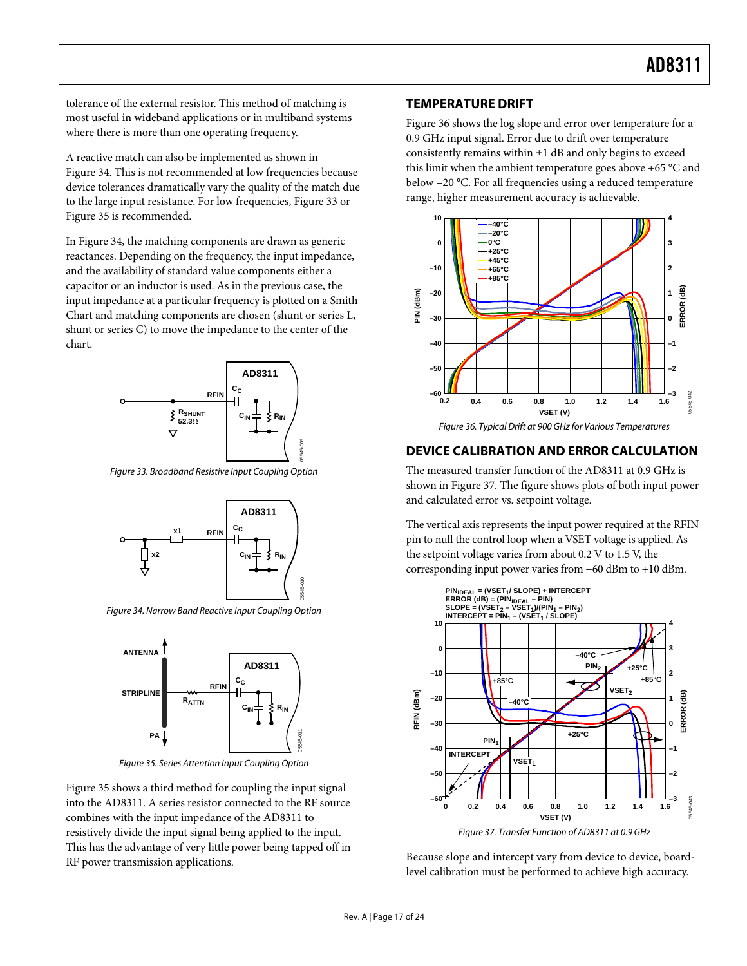<span id="page-16-0"></span>tolerance of the external resistor. This method of matching is most useful in wideband applications or in multiband systems where there is more than one operating frequency.

A reactive match can also be implemented as shown in [Figure 34](#page-16-2). This is not recommended at low frequencies because device tolerances dramatically vary the quality of the match due to the large input resistance. For low frequencies, [Figure 33](#page-16-1) or [Figure 35](#page-16-3) is recommended.

In [Figure 34](#page-16-2), the matching components are drawn as generic reactances. Depending on the frequency, the input impedance, and the availability of standard value components either a capacitor or an inductor is used. As in the previous case, the input impedance at a particular frequency is plotted on a Smith Chart and matching components are chosen (shunt or series L, shunt or series C) to move the impedance to the center of the chart.



<span id="page-16-4"></span><span id="page-16-1"></span>Figure 33. Broadband Resistive Input Coupling Option



<span id="page-16-2"></span>Figure 34. Narrow Band Reactive Input Coupling Option



Figure 35. Series Attention Input Coupling Option

<span id="page-16-5"></span><span id="page-16-3"></span>[Figure 35](#page-16-3) shows a third method for coupling the input signal into the AD8311. A series resistor connected to the RF source combines with the input impedance of the AD8311 to resistively divide the input signal being applied to the input. This has the advantage of very little power being tapped off in RF power transmission applications.

#### **TEMPERATURE DRIFT**

[Figure 36](#page-16-4) shows the log slope and error over temperature for a 0.9 GHz input signal. Error due to drift over temperature consistently remains within  $\pm 1$  dB and only begins to exceed this limit when the ambient temperature goes above +65 °C and below −20 °C. For all frequencies using a reduced temperature range, higher measurement accuracy is achievable.



#### **DEVICE CALIBRATION AND ERROR CALCULATION**

The measured transfer function of the AD8311 at 0.9 GHz is shown in [Figure 37](#page-16-5). The figure shows plots of both input power and calculated error vs. setpoint voltage.

The vertical axis represents the input power required at the RFIN pin to null the control loop when a VSET voltage is applied. As the setpoint voltage varies from about 0.2 V to 1.5 V, the corresponding input power varies from −60 dBm to +10 dBm.



Because slope and intercept vary from device to device, boardlevel calibration must be performed to achieve high accuracy.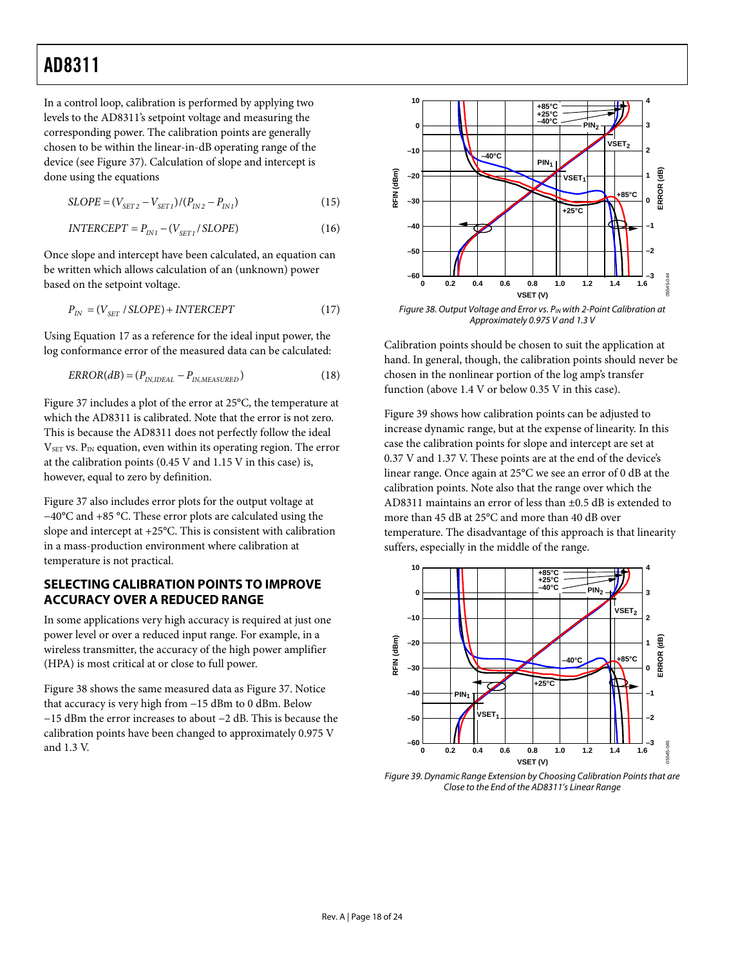<span id="page-17-0"></span>In a control loop, calibration is performed by applying two levels to the AD8311's setpoint voltage and measuring the corresponding power. The calibration points are generally chosen to be within the linear-in-dB operating range of the device (see [Figure 37](#page-16-5)). Calculation of slope and intercept is done using the equations

$$
SLOPE = (V_{SET2} - V_{SET1})/(P_{IN2} - P_{IN1})
$$
\n(15)

$$
INTERCEPT = P_{INI} - (V_{SET1} / SLOPE)
$$
 (16)

Once slope and intercept have been calculated, an equation can be written which allows calculation of an (unknown) power based on the setpoint voltage.

$$
P_{IN} = (V_{SET} / SLOPE) + INTERCEPT
$$
 (17)

<span id="page-17-1"></span>Using Equation 17 as a reference for the ideal input power, the log conformance error of the measured data can be calculated:

$$
ERROR(dB) = (P_{IN, IDEAL} - P_{IN, MEASURED})
$$
\n(18)

[Figure 37](#page-16-5) includes a plot of the error at 25°C, the temperature at which the AD8311 is calibrated. Note that the error is not zero. This is because the AD8311 does not perfectly follow the ideal  $V<sub>SET</sub>$  vs.  $P<sub>IN</sub>$  equation, even within its operating region. The error at the calibration points (0.45 V and 1.15 V in this case) is, however, equal to zero by definition.

[Figure 37](#page-16-5) also includes error plots for the output voltage at −40°C and +85 °C. These error plots are calculated using the slope and intercept at +25°C. This is consistent with calibration in a mass-production environment where calibration at temperature is not practical.

### **SELECTING CALIBRATION POINTS TO IMPROVE ACCURACY OVER A REDUCED RANGE**

In some applications very high accuracy is required at just one power level or over a reduced input range. For example, in a wireless transmitter, the accuracy of the high power amplifier (HPA) is most critical at or close to full power.

<span id="page-17-2"></span>[Figure 38](#page-17-1) shows the same measured data as [Figure 37.](#page-16-5) Notice that accuracy is very high from −15 dBm to 0 dBm. Below −15 dBm the error increases to about −2 dB. This is because the calibration points have been changed to approximately 0.975 V and 1.3 V.



Figure 38. Output Voltage and Error vs. P<sub>IN</sub> with 2-Point Calibration at Approximately 0.975 V and 1.3 V

Calibration points should be chosen to suit the application at hand. In general, though, the calibration points should never be chosen in the nonlinear portion of the log amp's transfer function (above 1.4 V or below 0.35 V in this case).

[Figure 39](#page-17-2) shows how calibration points can be adjusted to increase dynamic range, but at the expense of linearity. In this case the calibration points for slope and intercept are set at 0.37 V and 1.37 V. These points are at the end of the device's linear range. Once again at 25°C we see an error of 0 dB at the calibration points. Note also that the range over which the AD8311 maintains an error of less than ±0.5 dB is extended to more than 45 dB at 25°C and more than 40 dB over temperature. The disadvantage of this approach is that linearity suffers, especially in the middle of the range.



Figure 39. Dynamic Range Extension by Choosing Calibration Points that are Close to the End of the AD8311's Linear Range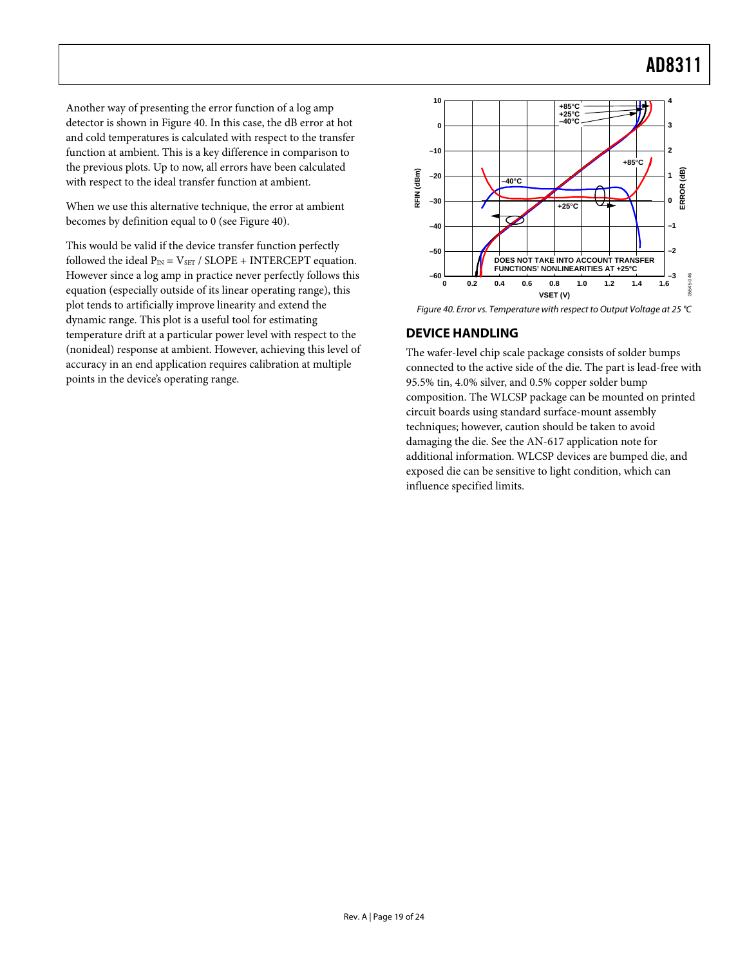<span id="page-18-0"></span>Another way of presenting the error function of a log amp detector is shown in [Figure 40](#page-18-1). In this case, the dB error at hot and cold temperatures is calculated with respect to the transfer function at ambient. This is a key difference in comparison to the previous plots. Up to now, all errors have been calculated with respect to the ideal transfer function at ambient.

When we use this alternative technique, the error at ambient becomes by definition equal to 0 (see [Figure 40](#page-18-1)).

<span id="page-18-1"></span>This would be valid if the device transfer function perfectly followed the ideal  $P_{IN} = V_{SET} / SLOPE + INTERCEPT$  equation. However since a log amp in practice never perfectly follows this equation (especially outside of its linear operating range), this plot tends to artificially improve linearity and extend the dynamic range. This plot is a useful tool for estimating temperature drift at a particular power level with respect to the (nonideal) response at ambient. However, achieving this level of accuracy in an end application requires calibration at multiple points in the device's operating range.



Figure 40. Error vs. Temperature with respect to Output Voltage at 25 °C

### **DEVICE HANDLING**

The wafer-level chip scale package consists of solder bumps connected to the active side of the die. The part is lead-free with 95.5% tin, 4.0% silver, and 0.5% copper solder bump composition. The WLCSP package can be mounted on printed circuit boards using standard surface-mount assembly techniques; however, caution should be taken to avoid damaging the die. See the [AN-617](http://www.analog.com/UploadedFiles/Application_Notes/35039106175745AN617_a.pdf#xml=http://search.analog.com/search/pdfPainter.aspx?url=http://www.analog.com/UploadedFiles/Application_Notes/35039106175745AN617_a.pdf&fterm=AN-617&fterm=AN-617&la=en) application note for additional information. WLCSP devices are bumped die, and exposed die can be sensitive to light condition, which can influence specified limits.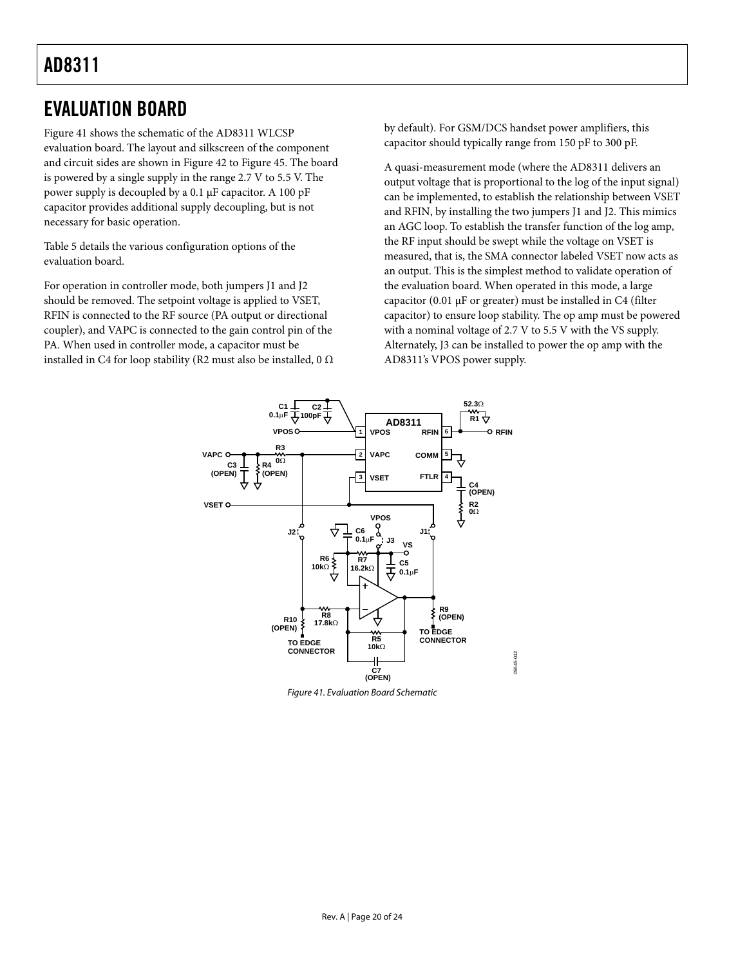### <span id="page-19-0"></span>EVALUATION BOARD

[Figure 41](#page-19-1) shows the schematic of the AD8311 WLCSP evaluation board. The layout and silkscreen of the component and circuit sides are shown in [Figure 42](#page-20-0) to [Figure 45.](#page-20-1) The board is powered by a single supply in the range 2.7 V to 5.5 V. The power supply is decoupled by a 0.1 μF capacitor. A 100 pF capacitor provides additional supply decoupling, but is not necessary for basic operation.

[Table 5](#page-20-2) details the various configuration options of the evaluation board.

For operation in controller mode, both jumpers J1 and J2 should be removed. The setpoint voltage is applied to VSET, RFIN is connected to the RF source (PA output or directional coupler), and VAPC is connected to the gain control pin of the PA. When used in controller mode, a capacitor must be installed in C4 for loop stability (R2 must also be installed, 0  $\Omega$  by default). For GSM/DCS handset power amplifiers, this capacitor should typically range from 150 pF to 300 pF.

A quasi-measurement mode (where the AD8311 delivers an output voltage that is proportional to the log of the input signal) can be implemented, to establish the relationship between VSET and RFIN, by installing the two jumpers J1 and J2. This mimics an AGC loop. To establish the transfer function of the log amp, the RF input should be swept while the voltage on VSET is measured, that is, the SMA connector labeled VSET now acts as an output. This is the simplest method to validate operation of the evaluation board. When operated in this mode, a large capacitor (0.01 μF or greater) must be installed in C4 (filter capacitor) to ensure loop stability. The op amp must be powered with a nominal voltage of 2.7 V to 5.5 V with the VS supply. Alternately, J3 can be installed to power the op amp with the AD8311's VPOS power supply.



<span id="page-19-1"></span>Figure 41. Evaluation Board Schematic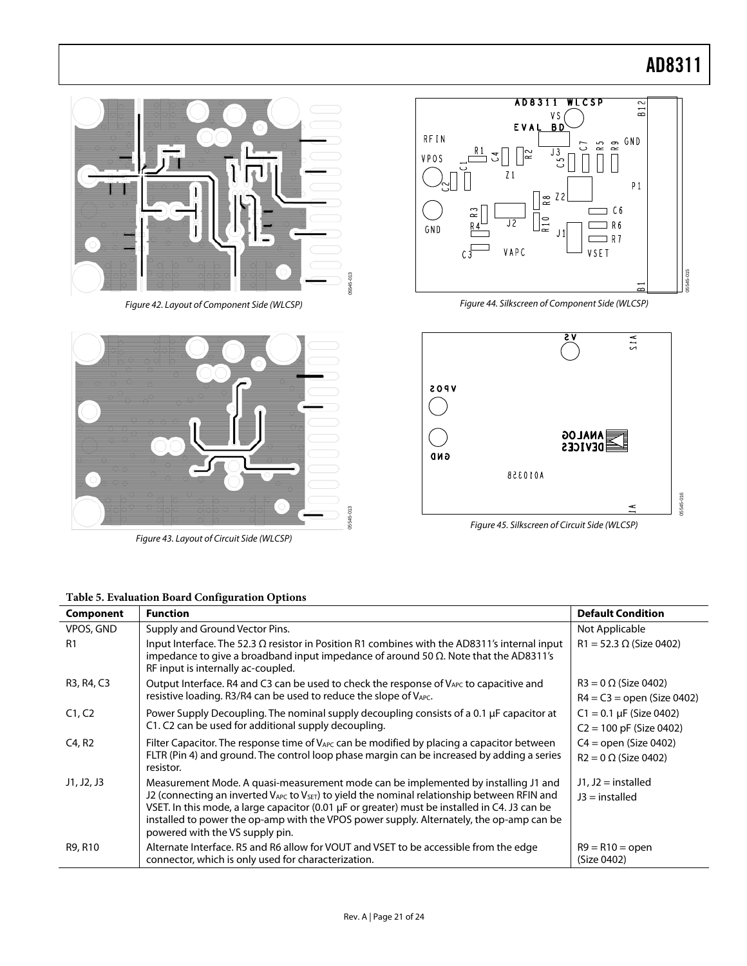05545-015

35545-015



Figure 43. Layout of Circuit Side (WLCSP)

<span id="page-20-2"></span><span id="page-20-1"></span>

<span id="page-20-0"></span>

|            | Figure 42. Layout of Component Side (WLCSP)                                                                                                                                                                                                                                                                                                                                                                                  | Figure 44. Silkscreen of Component Side (WLCSP) | 5545-0                                                      |
|------------|------------------------------------------------------------------------------------------------------------------------------------------------------------------------------------------------------------------------------------------------------------------------------------------------------------------------------------------------------------------------------------------------------------------------------|-------------------------------------------------|-------------------------------------------------------------|
|            |                                                                                                                                                                                                                                                                                                                                                                                                                              | 9 V                                             | 51A                                                         |
|            |                                                                                                                                                                                                                                                                                                                                                                                                                              | <b>809V</b><br>GND<br>A01035B                   | <b>ANALOG</b><br><b>DEVICES</b><br>15545-016                |
|            | 05545-013<br>Figure 43. Layout of Circuit Side (WLCSP)                                                                                                                                                                                                                                                                                                                                                                       | Figure 45. Silkscreen of Circuit Side (WLCSP)   |                                                             |
| Component  | Table 5. Evaluation Board Configuration Options<br><b>Function</b>                                                                                                                                                                                                                                                                                                                                                           |                                                 | <b>Default Condition</b>                                    |
| VPOS, GND  | Supply and Ground Vector Pins.                                                                                                                                                                                                                                                                                                                                                                                               |                                                 | Not Applicable                                              |
| R1         | Input Interface. The 52.3 $\Omega$ resistor in Position R1 combines with the AD8311's internal input<br>impedance to give a broadband input impedance of around 50 $\Omega$ . Note that the AD8311's<br>RF input is internally ac-coupled.                                                                                                                                                                                   |                                                 | $R1 = 52.3 \Omega$ (Size 0402)                              |
| R3, R4, C3 | Output Interface. R4 and C3 can be used to check the response of V <sub>APC</sub> to capacitive and<br>resistive loading. R3/R4 can be used to reduce the slope of VAPC.                                                                                                                                                                                                                                                     |                                                 | $R3 = 0 \Omega$ (Size 0402)<br>$R4 = C3 =$ open (Size 0402) |
| C1, C2     | Power Supply Decoupling. The nominal supply decoupling consists of a 0.1 µF capacitor at<br>C1. C2 can be used for additional supply decoupling.                                                                                                                                                                                                                                                                             |                                                 | $C1 = 0.1 \mu F$ (Size 0402)<br>$C2 = 100$ pF (Size 0402)   |
| C4, R2     | Filter Capacitor. The response time of V <sub>APC</sub> can be modified by placing a capacitor between<br>FLTR (Pin 4) and ground. The control loop phase margin can be increased by adding a series<br>resistor.                                                                                                                                                                                                            |                                                 | $C4 =$ open (Size 0402)<br>$R2 = 0 \Omega$ (Size 0402)      |
| J1, J2, J3 | Measurement Mode. A quasi-measurement mode can be implemented by installing J1 and<br>J2 (connecting an inverted $V_{APC}$ to $V_{SET}$ ) to yield the nominal relationship between RFIN and<br>VSET. In this mode, a large capacitor (0.01 µF or greater) must be installed in C4. J3 can be<br>installed to power the op-amp with the VPOS power supply. Alternately, the op-amp can be<br>powered with the VS supply pin. |                                                 | $J1, J2 =$ installed<br>$J3$ = installed                    |
| R9, R10    | Alternate Interface. R5 and R6 allow for VOUT and VSET to be accessible from the edge<br>connector, which is only used for characterization.                                                                                                                                                                                                                                                                                 |                                                 | $R9 = R10 = open$<br>(Size 0402)                            |
|            | Rev. A   Page 21 of 24                                                                                                                                                                                                                                                                                                                                                                                                       |                                                 |                                                             |



Figure 45. Silkscreen of Circuit Side (WLCSP)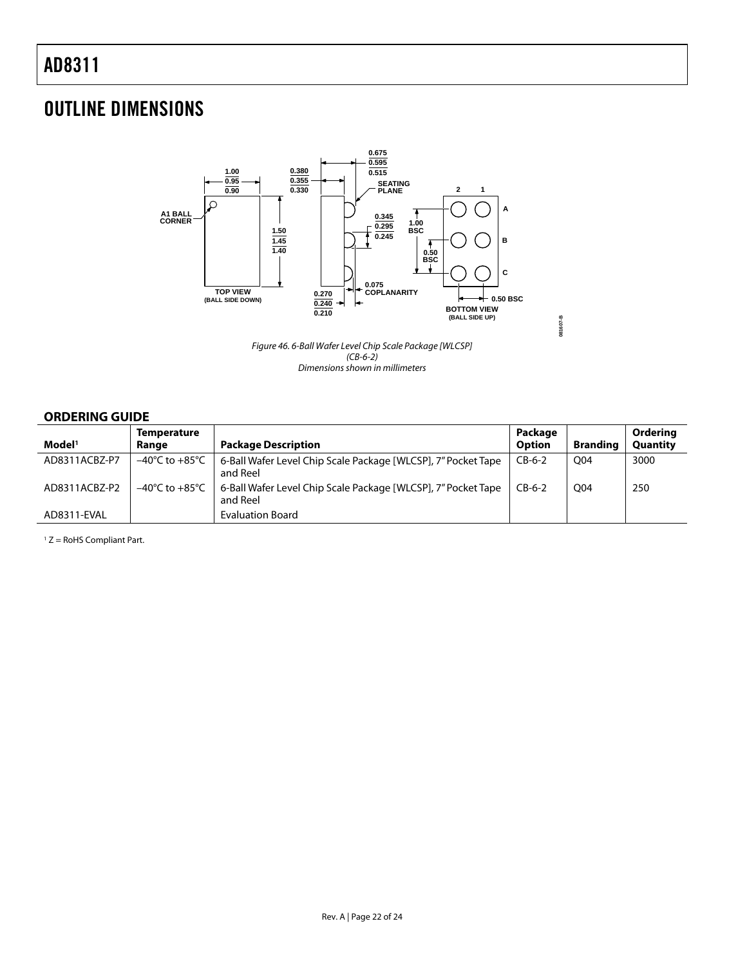### <span id="page-21-0"></span>OUTLINE DIMENSIONS



Figure 46. 6-Ball Wafer Level Chip Scale Package [WLCSP]  $(CB-6-2)$ Dimensions shown in millimeters

### **ORDERING GUIDE**

| Model <sup>1</sup> | <b>Temperature</b><br>Range | <b>Package Description</b>                                                | Package<br><b>Option</b> | <b>Branding</b> | Ordering<br>Quantity |
|--------------------|-----------------------------|---------------------------------------------------------------------------|--------------------------|-----------------|----------------------|
| AD8311ACBZ-P7      | –40°C to +85°C              | 6-Ball Wafer Level Chip Scale Package [WLCSP], 7" Pocket Tape<br>and Reel | $CB-6-2$                 | O04             | 3000                 |
| AD8311ACBZ-P2      | –40°C to +85°C              | 6-Ball Wafer Level Chip Scale Package [WLCSP], 7" Pocket Tape<br>and Reel | $CB-6-2$                 | O04             | 250                  |
| AD8311-EVAL        |                             | <b>Evaluation Board</b>                                                   |                          |                 |                      |

 $1 Z =$  RoHS Compliant Part.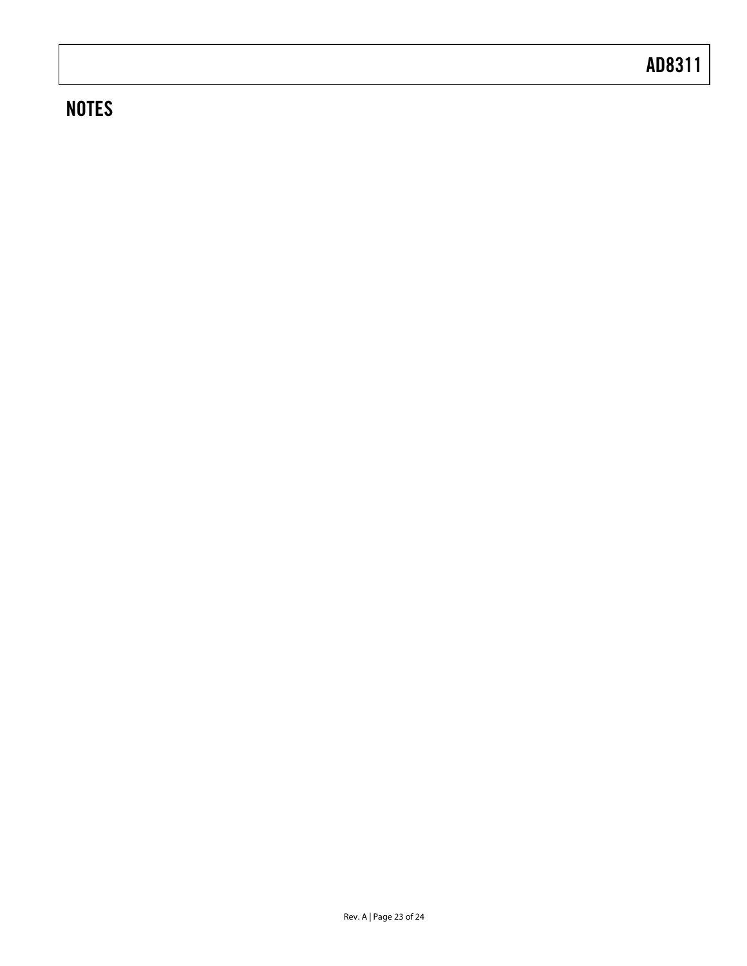# **NOTES**